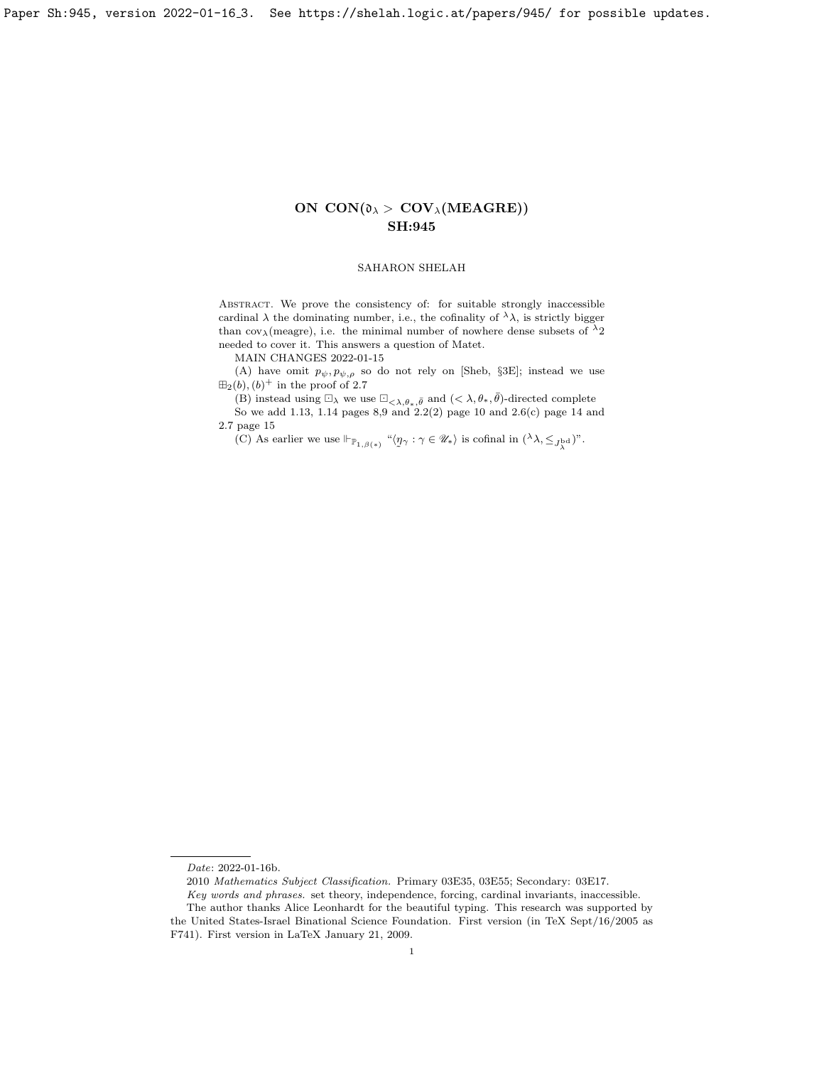Paper Sh:945, version 2022-01-16 3. See https://shelah.logic.at/papers/945/ for possible updates.

# ON  $CON(\mathfrak{d}_{\lambda} > \text{COV}_{\lambda}(\text{MEAGRE}))$ SH:945

## SAHARON SHELAH

ABSTRACT. We prove the consistency of: for suitable strongly inaccessible cardinal  $\lambda$  the dominating number, i.e., the cofinality of  ${^\lambda \lambda},$  is strictly bigger than cov<sub> $\lambda$ </sub>(meagre), i.e. the minimal number of nowhere dense subsets of  $\lambda_2$ needed to cover it. This answers a question of Matet.

MAIN CHANGES 2022-01-15

(A) have omit  $p_{\psi}, p_{\psi, \rho}$  so do not rely on [\[Sheb,](#page-23-0) §3E]; instead we use  $\boxplus_2(b)$ ,  $(b)^+$  in the proof of [2.7](#page-14-0)

(B) instead using  $\Box_{\lambda}$  we use  $\Box_{\langle \lambda,\theta_*,\bar{\theta} \rangle}$  and  $(<\lambda,\theta_*,\bar{\theta})$ -directed complete So we add [1.13,](#page-7-0) [1.14](#page-8-0) pages 8,9 and [2.2\(](#page-9-0)2) page 10 and [2.6\(](#page-13-0)c) page 14 and [2.7](#page-14-0) page 15

(C) As earlier we use  $\Vdash_{\mathbb{P}_{1,\beta(*)}}$  " $\langle \eta_{\gamma} : \gamma \in \mathscr{U}_* \rangle$  is cofinal in  $({}^{\lambda}\lambda, \leq_{J^{\mathrm{bd}}_{\lambda}})$ ".

Date: 2022-01-16b.

<sup>2010</sup> Mathematics Subject Classification. Primary 03E35, 03E55; Secondary: 03E17. Key words and phrases. set theory, independence, forcing, cardinal invariants, inaccessible. The author thanks Alice Leonhardt for the beautiful typing. This research was supported by

the United States-Israel Binational Science Foundation. First version (in TeX Sept/16/2005 as F741). First version in LaTeX January 21, 2009.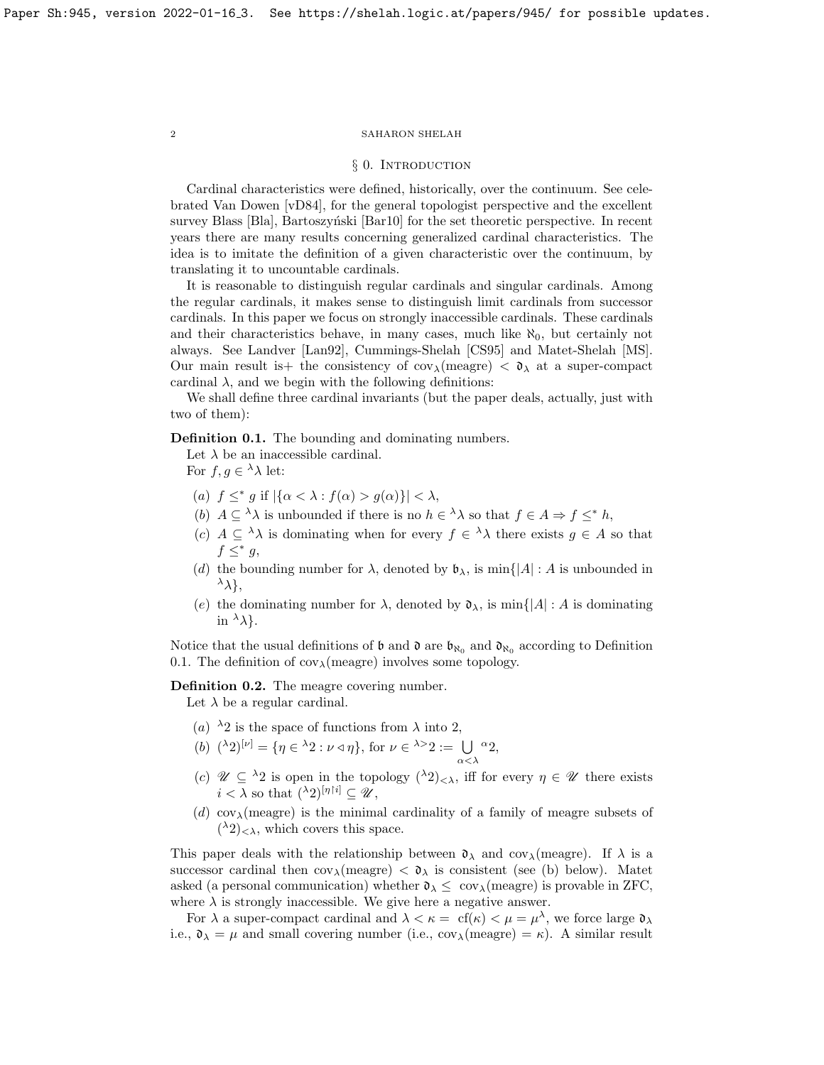## § 0. INTRODUCTION

Cardinal characteristics were defined, historically, over the continuum. See celebrated Van Dowen [\[vD84\]](#page-23-1), for the general topologist perspective and the excellent survey Blass [\[Bla\]](#page-23-2), Bartoszyński [\[Bar10\]](#page-23-3) for the set theoretic perspective. In recent years there are many results concerning generalized cardinal characteristics. The idea is to imitate the definition of a given characteristic over the continuum, by translating it to uncountable cardinals.

It is reasonable to distinguish regular cardinals and singular cardinals. Among the regular cardinals, it makes sense to distinguish limit cardinals from successor cardinals. In this paper we focus on strongly inaccessible cardinals. These cardinals and their characteristics behave, in many cases, much like  $\aleph_0$ , but certainly not always. See Landver [\[Lan92\]](#page-23-4), Cummings-Shelah [\[CS95\]](#page-23-5) and Matet-Shelah [\[MS\]](#page-23-6). Our main result is the consistency of  $cov_{\lambda}$ (meagre)  $\langle \lambda \rangle$  at a super-compact cardinal  $\lambda$ , and we begin with the following definitions:

We shall define three cardinal invariants (but the paper deals, actually, just with two of them):

<span id="page-1-0"></span>Definition 0.1. The bounding and dominating numbers.

Let  $\lambda$  be an inaccessible cardinal.

For  $f, g \in {}^{\lambda} \lambda$  let:

- (a)  $f \leq^* g$  if  $|\{\alpha < \lambda : f(\alpha) > g(\alpha)\}| < \lambda$ ,
- (b)  $A \subseteq \lambda \lambda$  is unbounded if there is no  $h \in \lambda \lambda$  so that  $f \in A \Rightarrow f \leq^* h$ ,
- (c)  $A \subseteq \lambda \lambda$  is dominating when for every  $f \in \lambda \lambda$  there exists  $g \in A$  so that  $f \leq^* g$ ,
- (d) the bounding number for  $\lambda$ , denoted by  $\mathfrak{b}_{\lambda}$ , is min{ $|A|: A$  is unbounded in  $\lambda$ ,
- (e) the dominating number for  $\lambda$ , denoted by  $\mathfrak{d}_{\lambda}$ , is min $\{ |A| : A \text{ is dominating}\}$ in  $\lambda$ .

Notice that the usual definitions of  $\mathfrak b$  and  $\mathfrak d$  are  $\mathfrak b_{\aleph_0}$  and  $\mathfrak d_{\aleph_0}$  according to Definition [0.1.](#page-1-0) The definition of  $cov_{\lambda}$ (meagre) involves some topology.

Definition 0.2. The meagre covering number.

Let  $\lambda$  be a regular cardinal.

- (a)  $\lambda_2$  is the space of functions from  $\lambda$  into 2,
- (b)  $({}^{\lambda}2)^{[\nu]} = {\eta \in {}^{\lambda}2 : \nu \triangleleft \eta }$ , for  $\nu \in {}^{\lambda >}2 := \bigcup$  $\alpha<\lambda$  $^{\alpha}2,$
- (c)  $\mathscr{U} \subseteq {}^{\lambda}2$  is open in the topology  $({}^{\lambda}2)_{\leq \lambda}$ , iff for every  $\eta \in \mathscr{U}$  there exists  $i < \lambda$  so that  $({}^{\lambda}2)^{[\eta\restriction i]} \subset \mathscr{U}$ ,
- (d) cov<sub> $\lambda$ </sub>(meagre) is the minimal cardinality of a family of meagre subsets of  $({}^{\lambda}2)_{\leq \lambda}$ , which covers this space.

This paper deals with the relationship between  $\mathfrak{d}_{\lambda}$  and cov<sub> $\lambda$ </sub>(meagre). If  $\lambda$  is a successor cardinal then  $cov_{\lambda}$ (meagre)  $\langle \lambda \rangle$  is consistent (see (b) below). Matet asked (a personal communication) whether  $\mathfrak{d}_{\lambda} \leq \text{ cov}_{\lambda}$  (meagre) is provable in ZFC, where  $\lambda$  is strongly inaccessible. We give here a negative answer.

For  $\lambda$  a super-compact cardinal and  $\lambda < \kappa = \text{ cf}(\kappa) < \mu = \mu^{\lambda}$ , we force large  $\mathfrak{d}_{\lambda}$ i.e.,  $\mathfrak{d}_{\lambda} = \mu$  and small covering number (i.e.,  $cov_{\lambda}(\text{measure}) = \kappa$ ). A similar result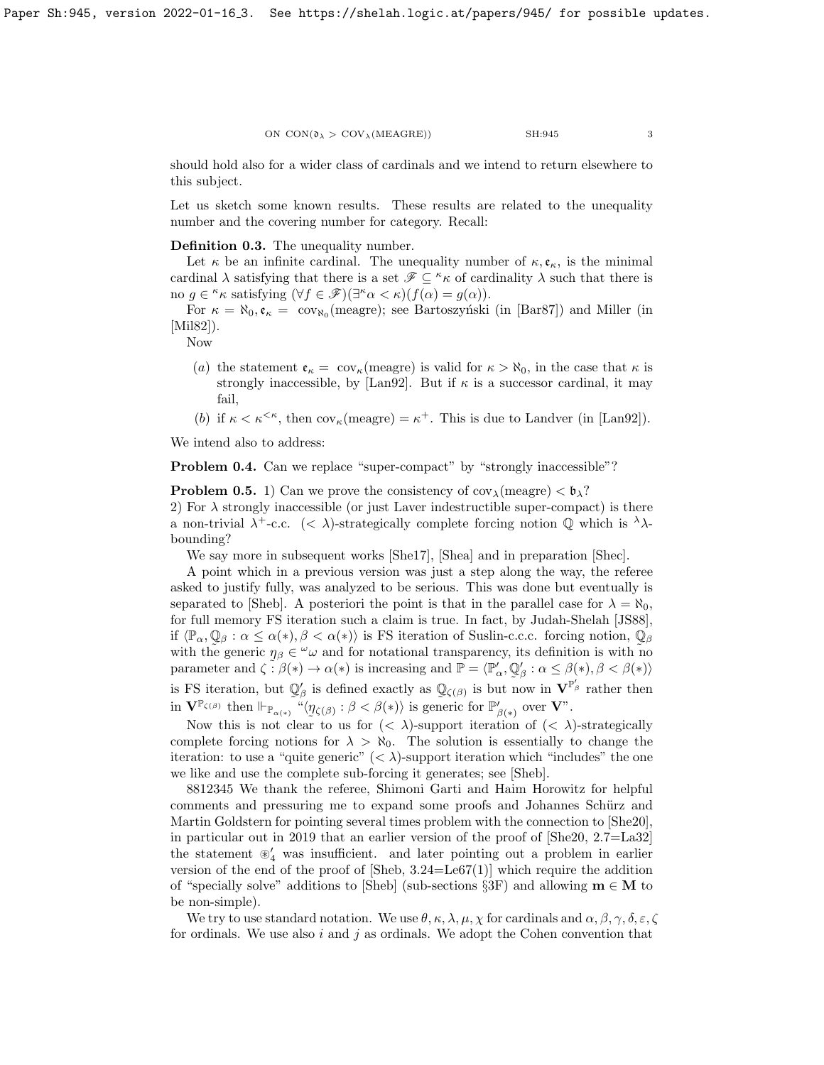should hold also for a wider class of cardinals and we intend to return elsewhere to this subject.

Let us sketch some known results. These results are related to the unequality number and the covering number for category. Recall:

Definition 0.3. The unequality number.

Let  $\kappa$  be an infinite cardinal. The unequality number of  $\kappa, \mathfrak{e}_{\kappa}$ , is the minimal cardinal  $\lambda$  satisfying that there is a set  $\mathscr{F} \subseteq \kappa$  of cardinality  $\lambda$  such that there is no  $g \in \kappa \kappa$  satisfying  $(\forall f \in \mathscr{F})(\exists^{\kappa} \alpha < \kappa)(f(\alpha) = g(\alpha)).$ 

For  $\kappa = \aleph_0, \mathfrak{e}_\kappa = \text{cov}_{\aleph_0}(\text{measure})$ ; see Bartoszyński (in [\[Bar87\]](#page-23-7)) and Miller (in [\[Mil82\]](#page-23-8)).

Now

- (a) the statement  $\mathfrak{e}_{\kappa} = \text{cov}_{\kappa}(\text{meagre})$  is valid for  $\kappa > \aleph_0$ , in the case that  $\kappa$  is strongly inaccessible, by [\[Lan92\]](#page-23-4). But if  $\kappa$  is a successor cardinal, it may fail,
- (b) if  $\kappa < \kappa^{\leq \kappa}$ , then  $\text{cov}_{\kappa}(\text{measure}) = \kappa^+$ . This is due to Landver (in [\[Lan92\]](#page-23-4)).

We intend also to address:

Problem 0.4. Can we replace "super-compact" by "strongly inaccessible"?

**Problem 0.5.** 1) Can we prove the consistency of  $cov_{\lambda}$ (meagre)  $\langle \phi_{\lambda} \rangle$ ? 2) For  $\lambda$  strongly inaccessible (or just Laver indestructible super-compact) is there a non-trivial  $\lambda^+$ -c.c.  $(< \lambda$ )-strategically complete forcing notion  $\mathbb Q$  which is  $\lambda$ . bounding?

We say more in subsequent works [\[She17\]](#page-23-9), [\[Shea\]](#page-23-10) and in preparation [\[Shec\]](#page-23-11).

A point which in a previous version was just a step along the way, the referee asked to justify fully, was analyzed to be serious. This was done but eventually is separated to [\[Sheb\]](#page-23-0). A posteriori the point is that in the parallel case for  $\lambda = \aleph_0$ , for full memory FS iteration such a claim is true. In fact, by Judah-Shelah [\[JS88\]](#page-23-12), if  $\langle \mathbb{P}_{\alpha}, \mathbb{Q}_{\beta} : \alpha \leq \alpha(*), \beta < \alpha(*)\rangle$  is FS iteration of Suslin-c.c.c. forcing notion,  $\mathbb{Q}_{\beta}$ with the generic  $\eta_{\beta} \in \omega_{\omega}$  and for notational transparency, its definition is with no parameter and  $\zeta : \beta(*) \to \alpha(*)$  is increasing and  $\mathbb{P} = \langle \mathbb{P}'_{\alpha}, \mathbb{Q}'_{\beta} : \alpha \leq \beta(*), \beta < \beta(*) \rangle$ is FS iteration, but  $\mathbb{Q}'_{\beta}$  is defined exactly as  $\mathbb{Q}_{\zeta(\beta)}$  is but now in  $\mathbf{V}^{\mathbb{P}'_{\beta}}$  rather then in  $\mathbf{V}^{\mathbb{P}_{\zeta(\beta)}}$  then  $\Vdash_{\mathbb{P}_{\alpha(*)}} \negthinspace \overset{\sim}{\negthinspace \iota} \langle \eta_{\zeta(\beta)} : \beta < \beta(*) \rangle$  is generic for  $\mathbb{P}'_{\beta(*)}$  over  $\mathbf{V}$ ".

Now this is not clear to us for  $(< \lambda$ )-support iteration of  $(< \lambda$ )-strategically complete forcing notions for  $\lambda > \aleph_0$ . The solution is essentially to change the iteration: to use a "quite generic"  $\langle \langle \lambda \rangle$ -support iteration which "includes" the one we like and use the complete sub-forcing it generates; see [\[Sheb\]](#page-23-0).

8812345 We thank the referee, Shimoni Garti and Haim Horowitz for helpful comments and pressuring me to expand some proofs and Johannes Schürz and Martin Goldstern for pointing several times problem with the connection to [\[She20\]](#page-23-13), in particular out in 2019 that an earlier version of the proof of [\[She20,](#page-23-13) 2.7=La32] the statement  $\mathscr{C}_4$  was insufficient. and later pointing out a problem in earlier version of the end of the proof of  $[\text{Sheb}, 3.24 = \text{Le67}(1)]$  which require the addition of "specially solve" additions to [\[Sheb\]](#page-23-0) (sub-sections §3F) and allowing  $\mathbf{m} \in \mathbf{M}$  to be non-simple).

We try to use standard notation. We use  $\theta$ ,  $\kappa$ ,  $\lambda$ ,  $\mu$ ,  $\chi$  for cardinals and  $\alpha$ ,  $\beta$ ,  $\gamma$ ,  $\delta$ ,  $\varepsilon$ ,  $\zeta$ for ordinals. We use also  $i$  and  $j$  as ordinals. We adopt the Cohen convention that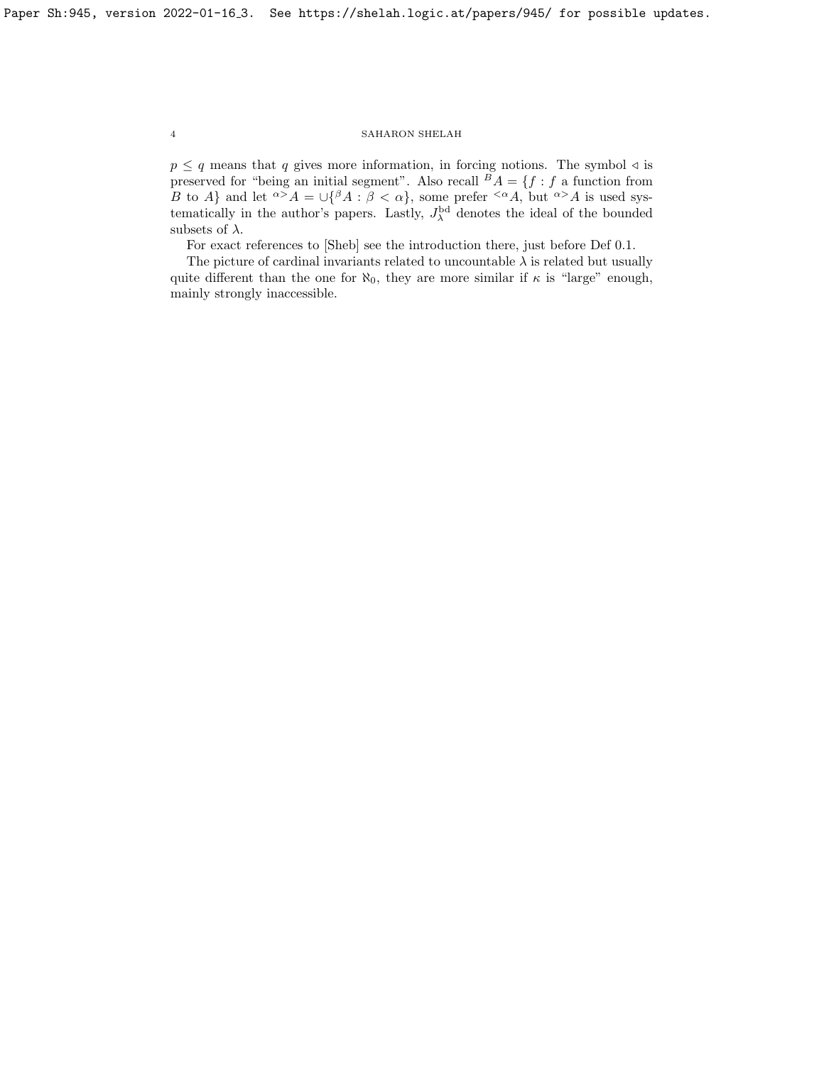$p \leq q$  means that q gives more information, in forcing notions. The symbol  $\triangleleft$  is preserved for "being an initial segment". Also recall  $A = \{f : f \text{ a function from}\}$ B to A} and let  $\alpha > A = \bigcup \{ \beta A : \beta < \alpha \}$ , some prefer  $\leq \alpha A$ , but  $\alpha > A$  is used systematically in the author's papers. Lastly,  $J_{\lambda}^{\rm bd}$  denotes the ideal of the bounded subsets of  $\lambda$ .

For exact references to [\[Sheb\]](#page-23-0) see the introduction there, just before Def [0.1.](#page-1-0)

The picture of cardinal invariants related to uncountable  $\lambda$  is related but usually quite different than the one for  $\aleph_0$ , they are more similar if  $\kappa$  is "large" enough, mainly strongly inaccessible.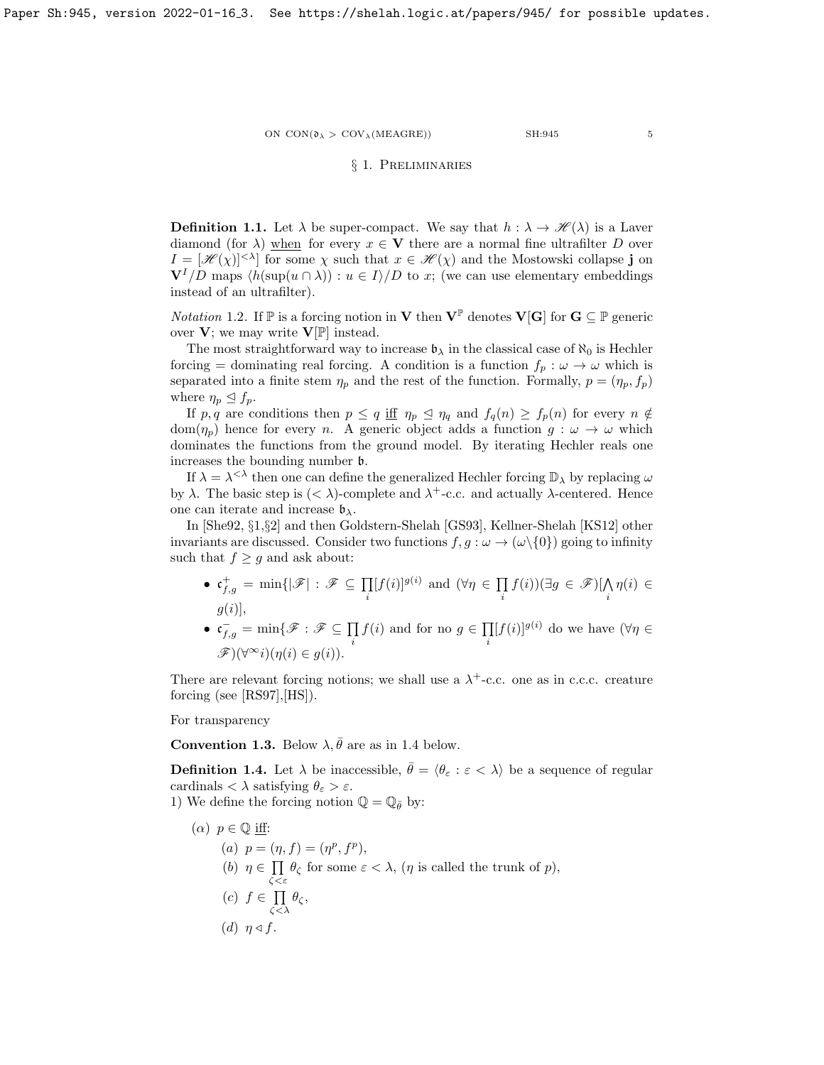# § 1. Preliminaries

<span id="page-4-1"></span>**Definition 1.1.** Let  $\lambda$  be super-compact. We say that  $h : \lambda \to \mathcal{H}(\lambda)$  is a Laver diamond (for  $\lambda$ ) when for every  $x \in V$  there are a normal fine ultrafilter D over  $I = [\mathcal{H}(\chi)]^{<\lambda}$  for some  $\chi$  such that  $x \in \mathcal{H}(\chi)$  and the Mostowski collapse j on  $V^I/D$  maps  $\langle h(\sup(u \cap \lambda)) : u \in I \rangle/D$  to x; (we can use elementary embeddings instead of an ultrafilter).

*Notation* 1.2. If  $\mathbb P$  is a forcing notion in **V** then  $V^{\mathbb P}$  denotes **V**[**G**] for  $G \subseteq \mathbb P$  generic over  $V$ ; we may write  $V[\mathbb{P}]$  instead.

The most straightforward way to increase  $\mathfrak{b}_{\lambda}$  in the classical case of  $\aleph_0$  is Hechler forcing = dominating real forcing. A condition is a function  $f_p : \omega \to \omega$  which is separated into a finite stem  $\eta_p$  and the rest of the function. Formally,  $p = (\eta_p, f_p)$ where  $\eta_p \leq f_p$ .

If p, q are conditions then  $p \le q$  iff  $\eta_p \le \eta_q$  and  $f_q(n) \ge f_p(n)$  for every  $n \notin$  $dom(\eta_p)$  hence for every n. A generic object adds a function  $g: \omega \to \omega$  which dominates the functions from the ground model. By iterating Hechler reals one increases the bounding number b.

If  $\lambda = \lambda^{<\lambda}$  then one can define the generalized Hechler forcing  $\mathbb{D}_{\lambda}$  by replacing  $\omega$ by  $\lambda$ . The basic step is  $(< \lambda$ )-complete and  $\lambda^+$ -c.c. and actually  $\lambda$ -centered. Hence one can iterate and increase  $\mathfrak{b}_{\lambda}$ .

In [\[She92,](#page-23-14) §1,§2] and then Goldstern-Shelah [\[GS93\]](#page-23-15), Kellner-Shelah [\[KS12\]](#page-23-16) other invariants are discussed. Consider two functions  $f, g : \omega \to (\omega \setminus \{0\})$  going to infinity such that  $f \geq g$  and ask about:

- $\bullet\; \mathfrak{c}_{f,g}^+ = \min \{|\mathscr{F}| \,:\, \mathscr{F} \subseteq \prod_{i=1}^n \}$ i  $[f(i)]^{g(i)}$  and  $(\forall \eta \in \Pi)$  $\prod_i f(i))(\exists g \in \mathscr{F})[\bigwedge_i$  $\eta(i) \in$  $g(i)$ ],
- $\mathfrak{c}_{f,g}^- = \min\{\mathscr{F}:\mathscr{F}\subseteq\prod\limits$ i  $f(i)$  and for no  $g \in \prod$ i  $[f(i)]^{g(i)}$  do we have  $(\forall \eta \in$  $\mathscr{F})(\forall^\infty i)(\eta(i) \in g(i)).$

There are relevant forcing notions; we shall use a  $\lambda^+$ -c.c. one as in c.c.c. creature forcing (see [\[RS97\]](#page-23-17),[\[HS\]](#page-23-18)).

For transparency

**Convention 1.3.** Below  $\lambda$ ,  $\bar{\theta}$  are as in [1.4](#page-4-0) below.

<span id="page-4-0"></span>**Definition 1.4.** Let  $\lambda$  be inaccessible,  $\bar{\theta} = \langle \theta_{\varepsilon} : \varepsilon \langle \lambda \rangle$  be a sequence of regular cardinals  $< \lambda$  satisfying  $\theta_{\varepsilon} > \varepsilon$ .

1) We define the forcing notion  $\mathbb{Q} = \mathbb{Q}_{\bar{\theta}}$  by:

 $(\alpha)$   $p \in \mathbb{Q}$  iff: (a)  $p = (\eta, f) = (\eta^p, f^p),$ (b)  $\eta \in \Pi$  $\prod_{\zeta<\varepsilon} \theta_{\zeta}$  for some  $\varepsilon < \lambda$ ,  $(\eta$  is called the trunk of  $p$ ),  $(c)$   $f \in \Pi$  $\prod_{\zeta<\lambda}\theta_\zeta,$ (d)  $\eta \triangleleft f$ .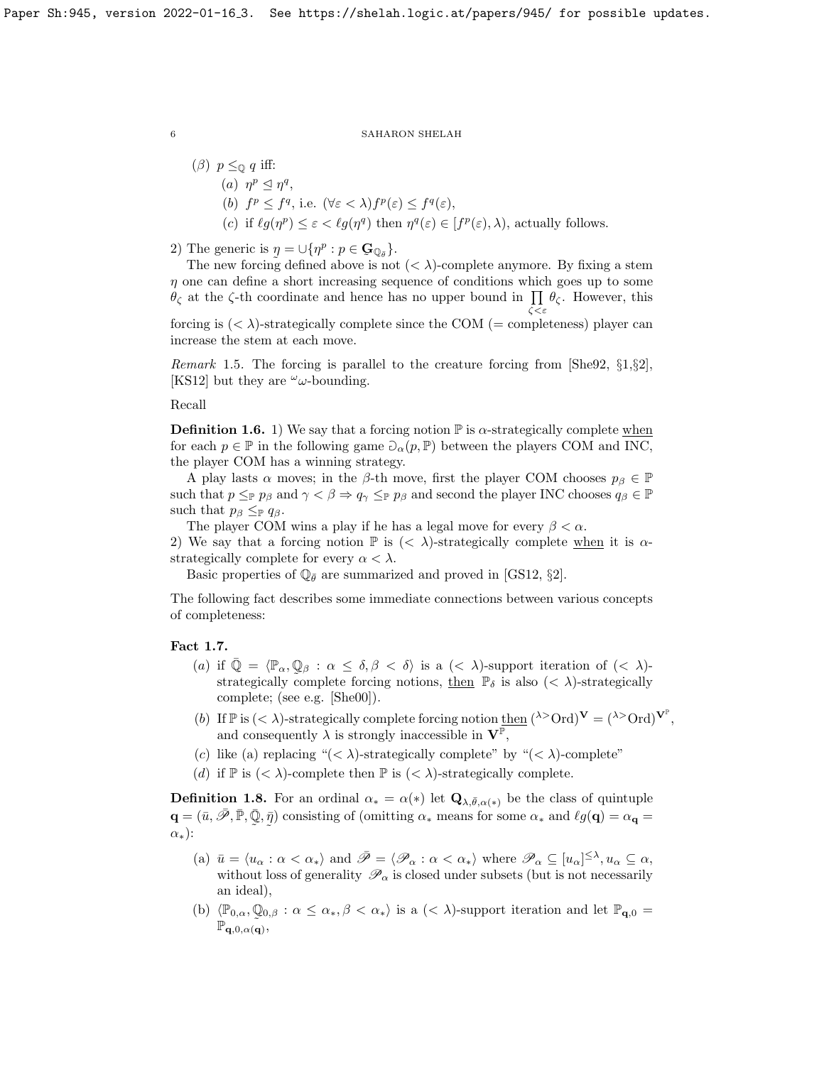( $\beta$ )  $p \leq_{\mathbb{Q}} q$  iff: (a)  $\eta^p \leq \eta^q$ , (b)  $f^p \leq f^q$ , i.e.  $(\forall \varepsilon < \lambda) f^p(\varepsilon) \leq f^q(\varepsilon)$ , (c) if  $\ell g(\eta^p) \leq \varepsilon < \ell g(\eta^q)$  then  $\eta^q(\varepsilon) \in [f^p(\varepsilon), \lambda)$ , actually follows.

2) The generic is  $\eta = \bigcup \{ \eta^p : p \in \mathbf{G}_{\mathbb{Q}_{\bar{\theta}}} \}.$ 

The new forcing defined above is not  $( $\lambda$ )$ -complete anymore. By fixing a stem  $\eta$  one can define a short increasing sequence of conditions which goes up to some  $\theta_{\zeta}$  at the  $\zeta$ -th coordinate and hence has no upper bound in  $\prod \theta_{\zeta}$ . However, this

forcing is  $( $\lambda$ )-strategy complete since the COM (= completeness) player can$ increase the stem at each move.

ζ<ε

*Remark* 1.5. The forcing is parallel to the creature forcing from [\[She92,](#page-23-14)  $\S1, \S2$ ], [\[KS12\]](#page-23-16) but they are  $\omega$ -bounding.

Recall

<span id="page-5-1"></span>**Definition 1.6.** 1) We say that a forcing notion  $\mathbb{P}$  is  $\alpha$ -strategically complete when for each  $p \in \mathbb{P}$  in the following game  $\partial_{\alpha}(p, \mathbb{P})$  between the players COM and INC, the player COM has a winning strategy.

A play lasts  $\alpha$  moves; in the  $\beta$ -th move, first the player COM chooses  $p_{\beta} \in \mathbb{P}$ such that  $p \leq_{\mathbb{P}} p_{\beta}$  and  $\gamma < \beta \Rightarrow q_{\gamma} \leq_{\mathbb{P}} p_{\beta}$  and second the player INC chooses  $q_{\beta} \in \mathbb{P}$ such that  $p_\beta \leq_{\mathbb{P}} q_\beta$ .

The player COM wins a play if he has a legal move for every  $\beta < \alpha$ .

2) We say that a forcing notion  $\mathbb P$  is  $( $\lambda$ )-strategically complete when it is  $\alpha$$ strategically complete for every  $\alpha < \lambda$ .

Basic properties of  $\mathbb{Q}_{\bar{\theta}}$  are summarized and proved in [\[GS12,](#page-23-19) §2].

The following fact describes some immediate connections between various concepts of completeness:

## Fact 1.7.

- (a) if  $\overline{\mathbb{Q}} = \langle \mathbb{P}_{\alpha}, \mathbb{Q}_{\beta} : \alpha \leq \delta, \beta < \delta \rangle$  is a  $( $\lambda$ )-support iteration of  $( $\lambda$ )$$ strategically complete forcing notions, then  $\mathbb{P}_{\delta}$  is also  $(< \lambda)$ -strategically complete; (see e.g. [\[She00\]](#page-23-20)).
- (b) If  $\mathbb{P}$  is  $( $\lambda$ )-strategically complete forcing notion then  $({}^{\lambda>}Ord)$ <sup>V</sup> =  $({}^{\lambda>}Ord)$ <sup>V<sup>P</sup>,</sup>$ and consequently  $\lambda$  is strongly inaccessible in  $V^{\mathbb{P}},$
- (c) like (a) replacing " $\langle \langle \rangle$ -strategically complete" by " $\langle \langle \rangle$ -complete"
- (d) if  $\mathbb P$  is  $( $\lambda$ )-complete then  $\mathbb P$  is  $( $\lambda$ )-strategically complete.$$

<span id="page-5-0"></span>**Definition 1.8.** For an ordinal  $\alpha_* = \alpha(*)$  let  $\mathbf{Q}_{\lambda,\bar{\theta},\alpha(*)}$  be the class of quintuple  $\mathbf{q} = (\bar{u}, \bar{\mathscr{P}}, \bar{\mathbb{P}}, \bar{\mathbb{Q}}$  $\tilde{\phantom{a}}$  $, \bar{\eta}$  $\tilde{\phantom{a}}$ ) consisting of (omitting  $\alpha_*$  means for some  $\alpha_*$  and  $\ell g(\mathbf{q}) = \alpha_{\mathbf{q}} =$  $\alpha_{*}$ ):

- (a)  $\bar{u} = \langle u_{\alpha} : \alpha < \alpha_* \rangle$  and  $\bar{\mathscr{P}} = \langle \mathscr{P}_{\alpha} : \alpha < \alpha_* \rangle$  where  $\mathscr{P}_{\alpha} \subseteq [u_{\alpha}]^{\leq \lambda}, u_{\alpha} \subseteq \alpha$ , without loss of generality  $\mathscr{P}_{\alpha}$  is closed under subsets (but is not necessarily an ideal),
- (b)  $\langle \mathbb{P}_{0,\alpha}, \mathbb{Q}_{0,\beta} : \alpha \leq \alpha_*, \beta < \alpha_* \rangle$  is a  $( $\lambda$ )-support iteration and let  $\mathbb{P}_{q,0} =$$  $\mathbb{P}_{\mathbf{q},0,\alpha(\mathbf{q})},$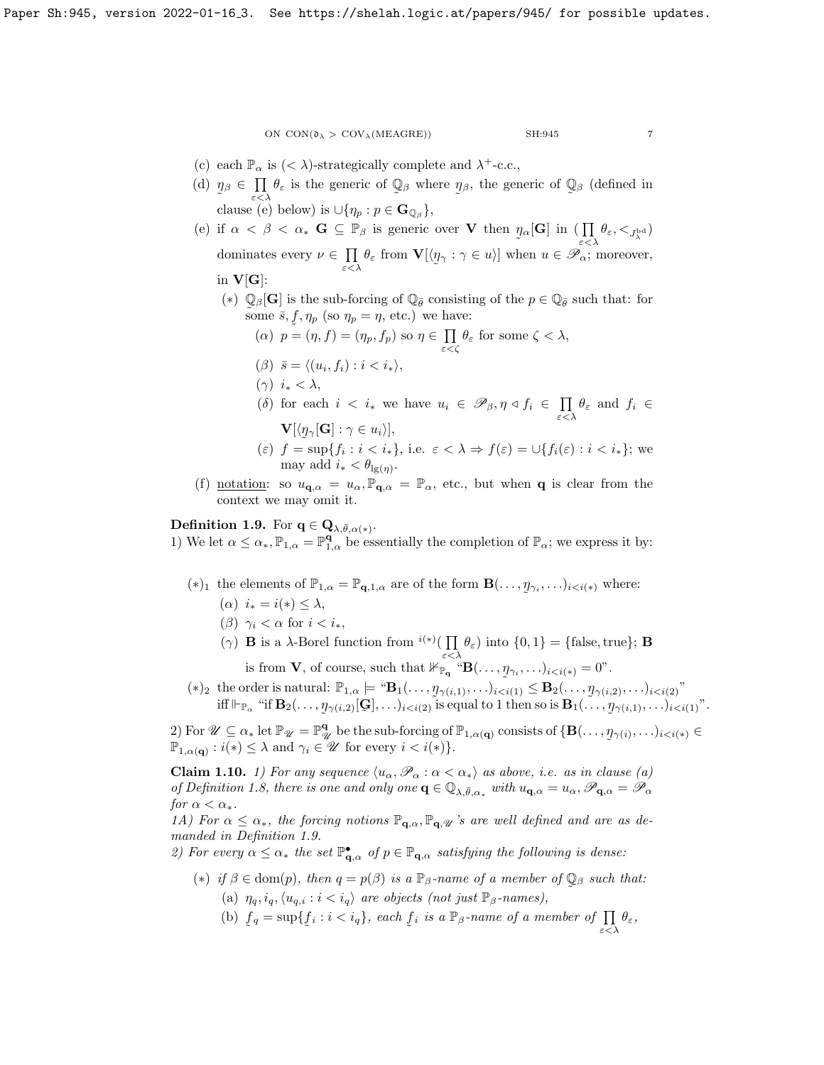- (c) each  $\mathbb{P}_{\alpha}$  is  $(< \lambda)$ -strategically complete and  $\lambda^+$ -c.c.,
- (d)  $\eta_{\beta} \in \prod \theta_{\varepsilon}$  is the generic of  $\mathbb{Q}_{\beta}$  where  $\eta$  $\epsilon < \lambda$  and  $\epsilon$  $\tilde{a}$ β, the generic of  $\mathbb{Q}$  $\tilde{\phantom{a}}$  $\beta$  (defined in clause (e) below) is  $\cup \{\eta_p : p \in \mathbf{G}_{\mathbb{Q}_{\beta}}\},\$
- (e) if  $\alpha < \beta < \alpha_*$  **G**  $\subseteq \mathbb{P}_{\beta}$  is generic over **V** then  $\eta$  $\tilde{\phantom{a}}$  $_{\alpha}[\mathbf{G}]$  in  $\left(\prod_{\varepsilon<\lambda}\theta_{\varepsilon},\lt_{J_{\lambda}^{\mathrm{bd}}}\right)$ dominates every  $\nu \in \Pi$  $\prod\limits_{\varepsilon<\lambda}\theta_{\varepsilon}$  from  ${\bf V}[\langle y]$ ˜  $\gamma : \gamma \in u$ ] when  $u \in \mathscr{P}_{\alpha}$ ; moreover,
	- in  $V[G]$ :
		- (\*)  $\mathbb{Q}_{\beta}[\mathbf{G}]$  is the sub-forcing of  $\mathbb{Q}_{\bar{\theta}}$  consisting of the  $p \in \mathbb{Q}_{\bar{\theta}}$  such that: for some  $\bar{s}$ ,  $f$ ,  $\eta_p$  (so  $\eta_p = \eta$ , etc.) we have:

\n- (
$$
\alpha
$$
)  $p = (\eta, f) = (\eta_p, f_p)$  so  $\eta \in \prod_{\varepsilon < \zeta} \theta_{\varepsilon}$  for some  $\zeta < \lambda$ ,
\n- ( $\beta$ )  $\bar{s} = \langle (u_i, f_i) : i < i_* \rangle$ ,
\n

( $\gamma$ )  $i_* < \lambda$ ,

(δ) for each  $i \leq i_*$  we have  $u_i \in \mathscr{P}_{\beta}, \eta \leq f_i \in \prod$  $\prod_{\varepsilon<\lambda}\theta_{\varepsilon}$  and  $f_i \in$  $\mathbf{V}[\langle \eta_{\gamma}[\mathbf{G}]: \gamma \in u_i \rangle],$ 

- (ε)  $f = \sup\{f_i : i < i_*\},\$ i.e.  $\varepsilon < \lambda \Rightarrow f(\varepsilon) = \bigcup\{f_i(\varepsilon) : i < i_*\}\$ ; we may add  $i_* < \theta_{\lg(\eta)}$ .
- (f) <u>notation</u>: so  $u_{\mathbf{q},\alpha} = u_{\alpha}$ ,  $\mathbb{P}_{\mathbf{q},\alpha} = \mathbb{P}_{\alpha}$ , etc., but when **q** is clear from the context we may omit it.

# <span id="page-6-0"></span>Definition 1.9. For  $q \in \mathbf{Q}_{\lambda,\bar{\theta},\alpha(*)}$ .

1) We let  $\alpha \leq \alpha_*, \mathbb{P}_{1,\alpha} = \mathbb{P}_{1,\alpha}^{\mathbf{q}}$  be essentially the completion of  $\mathbb{P}_{\alpha}$ ; we express it by:

- (\*)<sub>1</sub> the elements of  $\mathbb{P}_{1,\alpha} = \mathbb{P}_{q,1,\alpha}$  are of the form  $\mathbf{B}(\ldots,\eta)$  $y_{\gamma_i}, \ldots)_{i < i(*)}$  where:
	- ( $\alpha$ )  $i_* = i(*) \leq \lambda$ ,
	- ( $\beta$ )  $\gamma_i < \alpha$  for  $i < i_*$ ,
	- (γ) **B** is a  $\lambda$ -Borel function from <sup>*i*(\*)</sup>( $\prod$  $\prod_{\varepsilon < \lambda} \theta_{\varepsilon}$ ) into  $\{0, 1\} = \{\text{false}, \text{true}\};$  **B** is from **V**, of course, such that  $\mathbb{H}_{\mathbb{P}_q}^{\bullet}$  " $\mathbf{B}(\ldots, \eta_{\gamma_i}, \ldots)_{i \leq i(*)} = 0$ ".
- (\*)<sub>2</sub> the order is natural:  $\mathbb{P}_{1,\alpha} \models {\text{``}}\mathbf{B}_1(\ldots,\eta_{\gamma(i,1)},\ldots)_{i"$ iff  $\Vdash_{\mathbb{P}_\alpha}$  "if  $\mathbf{B}_2(\ldots, \eta_{\gamma(i,2)}[\mathbf{G}], \ldots)_{i < i(2)}$  is equal to 1 then so is  $\mathbf{B}_1(\ldots)$  $\mathcal{P}_{\gamma(i,2)}[\mathbf{\mathcal{G}}], \ldots)_{i < i(2)}$  is equal to 1 then so is  $\mathbf{B}_1(\ldots, \mathbf{y})$  $_{\gamma(i,1)}, \ldots)_{i < i(1)}$ ".

 $\tilde{\phantom{a}}$  $\tilde{a}$ 2) For  $\mathscr{U} \subseteq \alpha_*$  let  $\mathbb{P}_{\mathscr{U}} = \mathbb{P}_{\mathscr{U}}^{\mathbf{q}}$  be the sub-forcing of  $\mathbb{P}_{1,\alpha(\mathbf{q})}$  consists of  $\{\mathbf{B}(\ldots,\eta_{\gamma(i)},\ldots)_{i.$  $\mathbb{P}_{1,\alpha(\mathbf{q})}:i(*)\leq\lambda$  and  $\gamma_i\in\mathscr{U}$  for every  $i.$ 

<span id="page-6-1"></span>**Claim 1.10.** 1) For any sequence  $\langle u_{\alpha}, \mathscr{P}_{\alpha} : \alpha < \alpha_* \rangle$  as above, i.e. as in clause (a) of Definition [1.8,](#page-5-0) there is one and only one  $\mathbf{q} \in \mathbb{Q}_{\lambda,\bar{\theta},\alpha_*}$  with  $u_{\mathbf{q},\alpha} = u_\alpha, \mathscr{P}_{\mathbf{q},\alpha} = \mathscr{P}_{\alpha}$ for  $\alpha < \alpha_*$ .

1A) For  $\alpha \leq \alpha_*$ , the forcing notions  $\mathbb{P}_{q,\alpha}, \mathbb{P}_{q,\mathcal{U}}$  's are well defined and are as demanded in Definition [1.9.](#page-6-0)

2) For every  $\alpha \leq \alpha_*$  the set  $\mathbb{P}^{\bullet}_{\mathbf{q},\alpha}$  of  $p \in \mathbb{P}_{\mathbf{q},\alpha}$  satisfying the following is dense:

- (\*) if  $\beta \in \text{dom}(p)$ , then  $q = p(\beta)$  is a  $\mathbb{P}_{\beta}$ -name of a member of  $\mathbb{Q}_{\beta}$  such that:  $\tilde{\phantom{a}}$ (a)  $\eta_q, i_q, \langle u_{q,i} : i < i_q \rangle$  are objects (not just  $\mathbb{P}_{\beta}$ -names),
	- $(b) f$ ˜  $q = \sup\{f$  $f_i : i < i_q$ , each  $f$ ˜ *i* is a  $\mathbb{P}_{\beta}$ -name of a member of  $\prod_{\varepsilon < \lambda} \theta_{\varepsilon}$ ,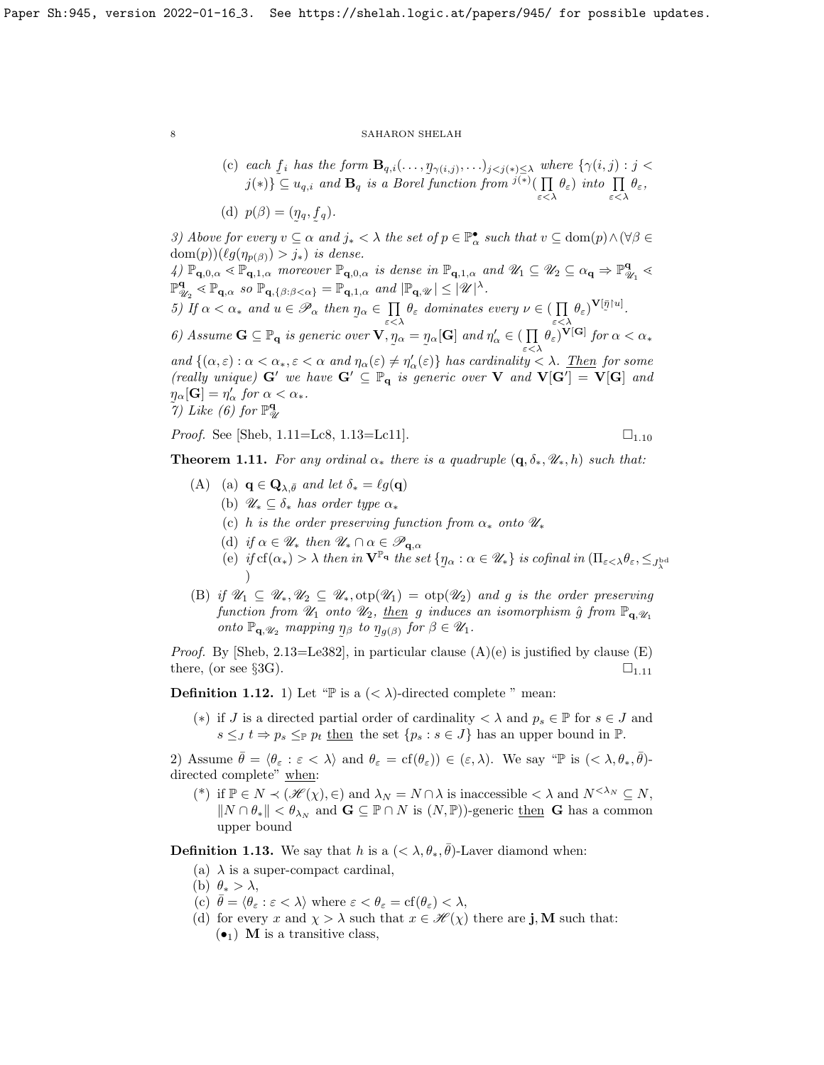(c) each  $f_i$  has the form  $\mathbf{B}_{q,i}(\ldots,\eta_{\gamma(i,j)},\ldots)_{j\leq j(*)\leq \lambda}$  where  $\{\gamma(i,j):j\leq j\leq j\}$  $j(*)\leq u_{q,i}$  and  $\mathbf{B}_q$  is a Borel function from  $j(*)$   $\prod$  $\prod_{\varepsilon<\lambda}\theta_{\varepsilon}$ ) into  $\prod_{\varepsilon<\lambda}\theta_{\varepsilon}$ ,

(d)  $p(\beta) = (\eta_q, f_q)$ .

3) Above for every  $v \subseteq \alpha$  and  $j_* < \lambda$  the set of  $p \in \mathbb{P}^{\bullet}_{\alpha}$  such that  $v \subseteq \text{dom}(p) \wedge (\forall \beta \in$  $dom(p))(\ell g(\eta_{p(\beta)}) > j_*)$  is dense.

4)  $\mathbb{P}_{\mathbf{q},0,\alpha} \leq \mathbb{P}_{\mathbf{q},1,\alpha}$  moreover  $\mathbb{P}_{\mathbf{q},0,\alpha}$  is dense in  $\mathbb{P}_{\mathbf{q},1,\alpha}$  and  $\mathscr{U}_1 \subseteq \mathscr{U}_2 \subseteq \alpha_{\mathbf{q}} \Rightarrow \mathbb{P}_{\alpha}^{\mathbf{q}}$  $\frac{\mathbf{q}}{\mathscr{U}_1} \leq$  $\mathbb{P}^{\mathbf{q}}$  $\mathbb{P}_{\mathbf{q},\alpha}^{\mathbf{q}} \leq \mathbb{P}_{\mathbf{q},\alpha} \text{ so } \mathbb{P}_{\mathbf{q},\{\beta:\beta<\alpha\}} = \mathbb{P}_{\mathbf{q},1,\alpha} \text{ and } |\mathbb{P}_{\mathbf{q},\mathscr{U}}| \leq |\mathscr{U}|^{\lambda}.$ 5) If  $\alpha < \alpha_*$  and  $u \in \mathscr{P}_\alpha$  then  $\eta$  $\tilde{\phantom{a}}$  $_{\alpha} \in \ \prod$  $\prod_{\varepsilon < \lambda} \theta_{\varepsilon}$  dominates every  $\nu \in (\prod_{\varepsilon < \lambda}$  $\prod_{\varepsilon<\lambda}\theta_{\varepsilon}^{\vphantom{1}}\big)^{\mathbf{V}[\bar{\eta}\restriction u]}.\nonumber$ 6) Assume  $G \subseteq \mathbb{P}_q$  is generic over  $V, \eta$  $\tilde{\phantom{a}}$  $\alpha = \eta$  $\tilde{\phantom{a}}$  $_{\alpha}[\mathbf{G}]$  and  $\eta'_{\alpha} \in (\prod$  $\prod_{\varepsilon < \lambda} \theta_{\varepsilon}$ )**V[G**] for  $\alpha < \alpha_*$ and  $\{(\alpha,\varepsilon): \alpha < \alpha_*, \varepsilon < \alpha \text{ and } \eta_\alpha(\varepsilon) \neq \eta'_\alpha(\varepsilon)\}\$  has cardinality  $< \lambda$ . Then for some (really unique)  $G'$  we have  $G' \subseteq \mathbb{P}_q$  is generic over V and  $V[G'] = V[G]$  and  $\eta_{\alpha}[\mathbf{G}] = \eta'_{\alpha}$  for  $\alpha < \alpha_*$ .  $\tilde{q}$ ) Like (6) for  $\mathbb{P}^{\mathbf{q}}_{\mathscr{A}}$ U

*Proof.* See [\[Sheb,](#page-23-0)  $1.11 = Lc8$ ,  $1.13 = Lc11$ ].  $\Box$ 

<span id="page-7-1"></span>**Theorem 1.11.** For any ordinal  $\alpha_*$  there is a quadruple  $(\mathbf{q}, \delta_*, \mathcal{U}_*, h)$  such that:

- (A) (a)  $\mathbf{q} \in \mathbf{Q}_{\lambda, \bar{\theta}}$  and let  $\delta_* = \ell g(\mathbf{q})$ 
	- (b)  $\mathscr{U}_* \subseteq \delta_*$  has order type  $\alpha_*$
	- (c) h is the order preserving function from  $\alpha_*$  onto  $\mathscr{U}_*$
	- (d) if  $\alpha \in \mathscr{U}_*$  then  $\mathscr{U}_* \cap \alpha \in \mathscr{P}_{\mathbf{q}, \alpha}$
	- (e) if  $cf(\alpha_*) > \lambda$  then in  $\mathbf{V}^{\mathbb{P}_q}$  the set  $\{\eta_\alpha : \alpha \in \mathscr{U}_*\}$  is cofinal in  $(\Pi_{\varepsilon < \lambda} \theta_{\varepsilon}, \leq_{\mathcal{J}^{\text{bd}}_{\lambda}})$  $\tilde{\phantom{a}}$ )
- (B) if  $\mathscr{U}_1 \subseteq \mathscr{U}_*, \mathscr{U}_2 \subseteq \mathscr{U}_*, \text{otp}(\mathscr{U}_1) = \text{otp}(\mathscr{U}_2)$  and g is the order preserving function from  $\mathcal{U}_1$  onto  $\mathcal{U}_2$ , then g induces an isomorphism  $\hat{g}$  from  $\mathbb{P}_{q,\mathcal{U}_1}$ onto  $\mathbb{P}_{\mathbf{q},\mathscr{U}_2}$  mapping  $\eta_\beta$  to  $\eta_{g(\beta)}$  for  $\beta \in \mathscr{U}_1$ .  $\tilde{\zeta}$   $\sim$

*Proof.* By [\[Sheb,](#page-23-0) 2.13=Le382], in particular clause  $(A)(e)$  is justified by clause  $(E)$ there, (or see §3G).  $\Box$ <sub>1.[11](#page-7-1)</sub>

**Definition 1.12.** 1) Let "P is a  $\langle \langle \lambda \rangle$ -directed complete " mean:

(\*) if J is a directed partial order of cardinality  $\langle \lambda \rangle$  and  $p_s \in \mathbb{P}$  for  $s \in J$  and  $s \leq J$   $t \Rightarrow p_s \leq_{\mathbb{P}} p_t$  then the set  $\{p_s : s \in J\}$  has an upper bound in  $\mathbb{P}$ .

2) Assume  $\bar{\theta} = \langle \theta_{\varepsilon} : \varepsilon < \lambda \rangle$  and  $\theta_{\varepsilon} = \text{cf}(\theta_{\varepsilon}) \in (\varepsilon, \lambda)$ . We say "P is  $(< \lambda, \theta_*, \bar{\theta})$ directed complete" when:

(\*) if  $\mathbb{P} \in N \prec (\mathscr{H}(\chi), \in)$  and  $\lambda_N = N \cap \lambda$  is inaccessible  $\lt \lambda$  and  $N^{\lt \lambda_N} \subseteq N$ ,  $||N \cap \theta_*|| < \theta_{\lambda_N}$  and  $\mathbf{G} \subseteq \mathbb{P} \cap N$  is  $(N, \mathbb{P})$ -generic then G has a common upper bound

<span id="page-7-0"></span>**Definition 1.13.** We say that h is a  $\left(\langle \lambda, \theta_*, \overline{\theta} \right)$ -Laver diamond when:

- (a)  $\lambda$  is a super-compact cardinal,
- (b)  $\theta_* > \lambda$ ,
- (c)  $\bar{\theta} = \langle \theta_{\varepsilon} : \varepsilon < \lambda \rangle$  where  $\varepsilon < \theta_{\varepsilon} = \text{cf}(\theta_{\varepsilon}) < \lambda$ ,
- (d) for every x and  $\chi > \lambda$  such that  $x \in \mathcal{H}(\chi)$  there are **j**, **M** such that:  $\left(\bullet_1\right)$  M is a transitive class,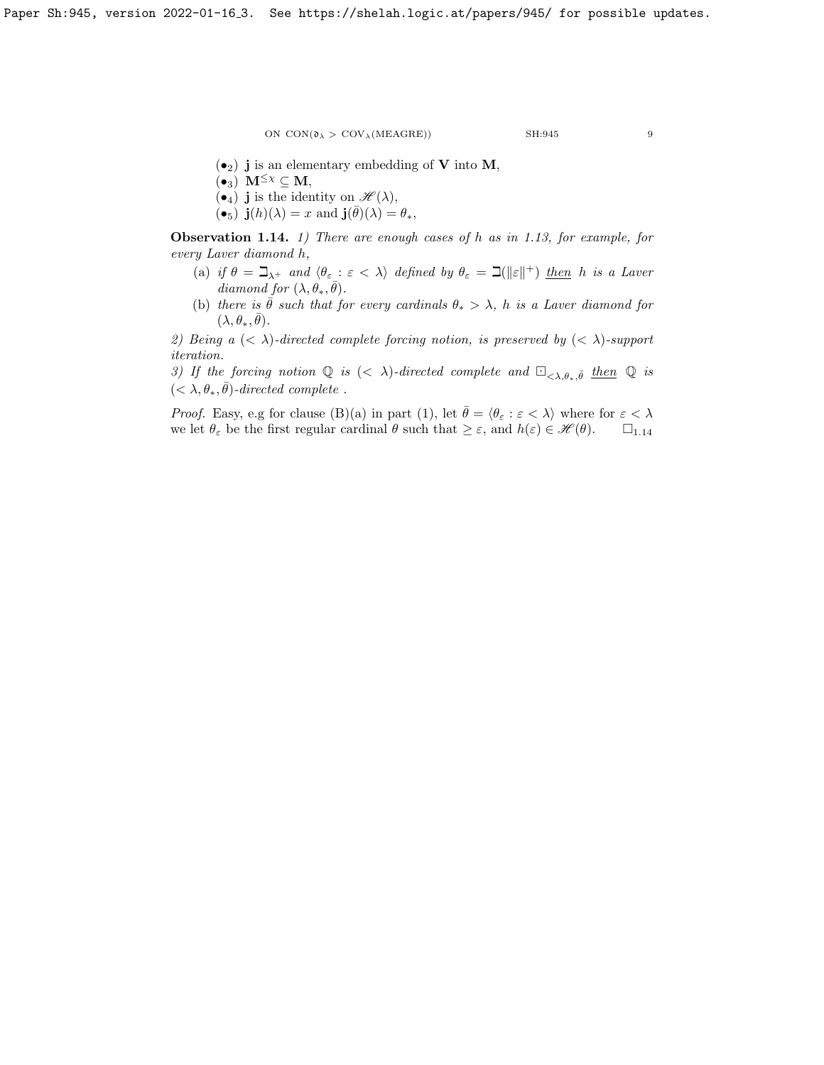$$
_{\rm SH:945}
$$

- $\left(\bullet_2\right)$  j is an elementary embedding of V into M,
- $(\bullet_3)$  **M**<sup> $\leq$ x</sup>  $\subseteq$  **M**,
- $\left(\bullet_4\right)$  j is the identity on  $\mathscr{H}(\lambda)$ ,
- $\widetilde{\Theta_5}$ )  $\mathbf{j}(h)(\lambda) = x$  and  $\mathbf{j}(\bar{\theta})(\lambda) = \theta_*$ ,

<span id="page-8-0"></span>**Observation 1.14.** 1) There are enough cases of h as in [1.13,](#page-7-0) for example, for every Laver diamond h,

- (a) if  $\theta = \beth_{\lambda^+}$  and  $\langle \theta_{\varepsilon} : \varepsilon < \lambda \rangle$  defined by  $\theta_{\varepsilon} = \beth(\|\varepsilon\|^+)$  then h is a Laver diamond for  $(\lambda, \theta_*, \overline{\theta})$ .
- (b) there is  $\bar{\theta}$  such that for every cardinals  $\theta_* > \lambda$ , h is a Laver diamond for  $(\lambda, \theta_*, \bar{\theta}).$

2) Being a  $( $\lambda$ )-directed complete forcing notion, is preserved by  $( $\lambda$ )-support$$ iteration.

3) If the forcing notion  $\mathbb{Q}$  is  $( $\lambda$ )-directed complete and  $\Box_{<\lambda,\theta_*},\bar{\theta}$  then  $\mathbb{Q}$  is$  $( $\lambda$ ,  $\theta_*$ ,  $\bar{\theta}$ )-directed complete.$ 

*Proof.* Easy, e.g for clause (B)(a) in part (1), let  $\bar{\theta} = \langle \theta_{\varepsilon} : \varepsilon < \lambda \rangle$  where for  $\varepsilon < \lambda$ we let  $\theta_{\varepsilon}$  be the first regular cardinal  $\theta$  such that  $\geq \varepsilon$ , and  $h(\varepsilon) \in \mathscr{H}(\theta)$ .  $\Box_{1,14}$  $\Box_{1,14}$  $\Box_{1,14}$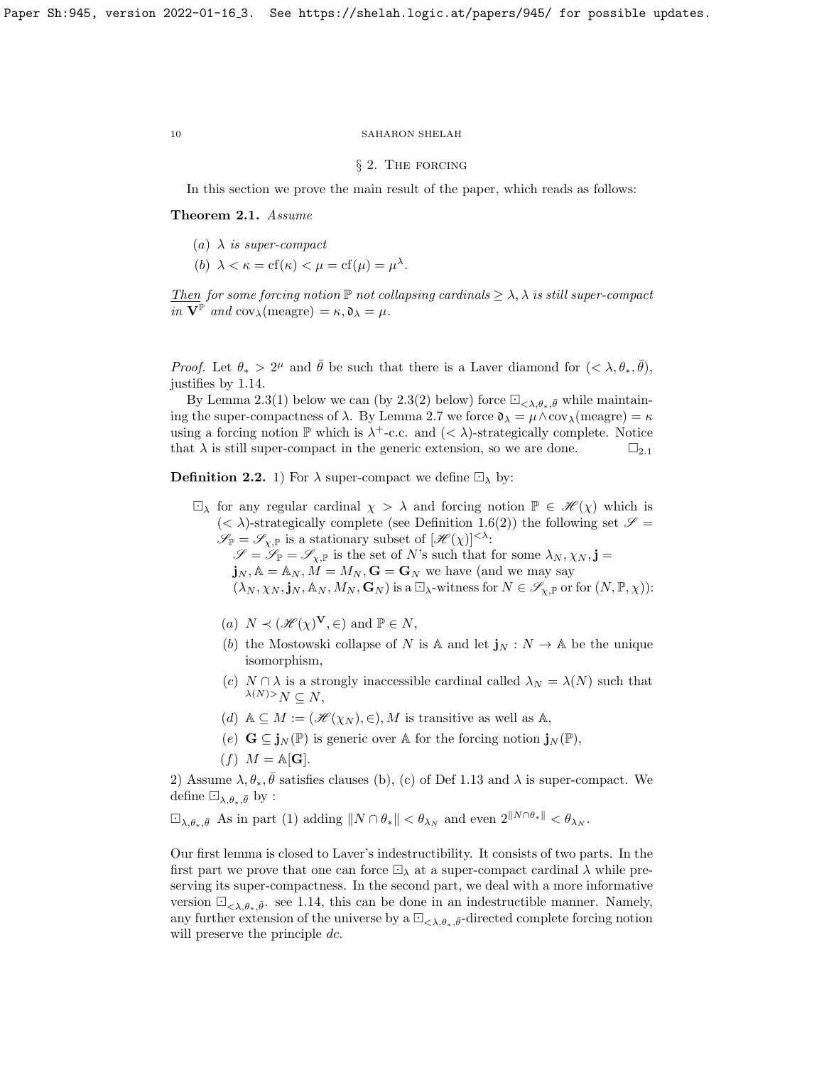## § 2. The forcing

In this section we prove the main result of the paper, which reads as follows:

<span id="page-9-1"></span>Theorem 2.1. Assume

- (a)  $\lambda$  is super-compact
- (b)  $\lambda < \kappa = \text{cf}(\kappa) < \mu = \text{cf}(\mu) = \mu^{\lambda}$ .

Then for some forcing notion  $\mathbb P$  not collapsing cardinals  $\geq \lambda$ ,  $\lambda$  is still super-compact in  $V^{\mathbb{P}}$  and  $cov_{\lambda}(\text{measure}) = \kappa, \mathfrak{d}_{\lambda} = \mu$ .

*Proof.* Let  $\theta_* > 2^{\mu}$  and  $\bar{\theta}$  be such that there is a Laver diamond for  $(< \lambda, \theta_*, \bar{\theta})$ , justifies by [1.14.](#page-8-0)

By Lemma [2.3\(](#page-10-0)1) below we can (by 2.3(2) below) force  $\Box_{\langle \lambda,\theta_*,\bar{\theta}}$  while maintaining the super-compactness of  $\lambda$ . By Lemma [2.7](#page-14-0) we force  $\mathfrak{d}_{\lambda} = \mu \wedge \text{cov}_{\lambda}(\text{measure}) = \kappa$ using a forcing notion  $\mathbb P$  which is  $\lambda^+$ -c.c. and  $( $\lambda$ )-strategically complete. Notice$ that  $\lambda$  is still super-compact in the generic extension, so we are done.  $\square_{2.1}$  $\square_{2.1}$  $\square_{2.1}$ 

<span id="page-9-0"></span>**Definition 2.2.** 1) For  $\lambda$  super-compact we define  $\Box_{\lambda}$  by:

 $\Box_{\lambda}$  for any regular cardinal  $\chi > \lambda$  and forcing notion  $\mathbb{P} \in \mathscr{H}(\chi)$  which is  $( $\lambda$ )-strategically complete (see Definition 1.6(2)) the following set  $\mathscr{S} =$$  $( $\lambda$ )-strategically complete (see Definition 1.6(2)) the following set  $\mathscr{S} =$$  $( $\lambda$ )-strategically complete (see Definition 1.6(2)) the following set  $\mathscr{S} =$$  $\mathscr{S}_{\mathbb{P}} = \mathscr{S}_{\chi,\mathbb{P}}$  is a stationary subset of  $[\mathscr{H}(\chi)]^{<\lambda}$ :  $\mathscr{S} = \mathscr{S}_{\mathbb{P}} = \mathscr{S}_{\chi,\mathbb{P}}$  is the set of N's such that for some  $\lambda_N, \chi_N, \mathbf{j} =$ 

 $\mathbf{j}_N, \mathbb{A} = \mathbb{A}_N, M = M_N, \mathbf{G} = \mathbf{G}_N$  we have (and we may say  $(\lambda_N, \chi_N, \mathbf{j}_N, \mathbb{A}_N, M_N, \mathbf{G}_N)$  is a  $\Box_{\lambda}$ -witness for  $N \in \mathscr{S}_{\chi, \mathbb{P}}$  or for  $(N, \mathbb{P}, \chi)$ :

- (a)  $N \prec (\mathscr{H}(\chi)^{\mathbf{V}}, \in)$  and  $\mathbb{P} \in N$ ,
- (b) the Mostowski collapse of N is A and let  $\mathbf{j}_N : N \to \mathbb{A}$  be the unique isomorphism,
- (c)  $N \cap \lambda$  is a strongly inaccessible cardinal called  $\lambda_N = \lambda(N)$  such that  $\lambda(N) > N \subset N$ ,
- (d)  $A \subseteq M := (\mathcal{H}(\chi_N), \in), M$  is transitive as well as A,
- (e)  $\mathbf{G} \subseteq \mathbf{j}_N(\mathbb{P})$  is generic over A for the forcing notion  $\mathbf{j}_N(\mathbb{P})$ ,

$$
(f) M = \mathbb{A}[\mathbf{G}].
$$

2) Assume  $\lambda, \theta_*, \bar{\theta}$  satisfies clauses (b), (c) of Def [1.13](#page-7-0) and  $\lambda$  is super-compact. We define  $\Box_{\lambda,\theta_*,\bar{\theta}}$  by :

$$
\Box_{\lambda,\theta_*,\bar{\theta}} \text{ As in part (1) adding } \|N \cap \theta_*\| < \theta_{\lambda_N} \text{ and even } 2^{\|N \cap \theta_*\|} < \theta_{\lambda_N}.
$$

Our first lemma is closed to Laver's indestructibility. It consists of two parts. In the first part we prove that one can force  $\Box_{\lambda}$  at a super-compact cardinal  $\lambda$  while preserving its super-compactness. In the second part, we deal with a more informative version  $\Box_{\langle \lambda,\theta_*,\bar{\theta}}$  see [1.14,](#page-8-0) this can be done in an indestructible manner. Namely, any further extension of the universe by a  $\Box_{\langle \lambda, \theta_*\rangle}$ -directed complete forcing notion will preserve the principle dc.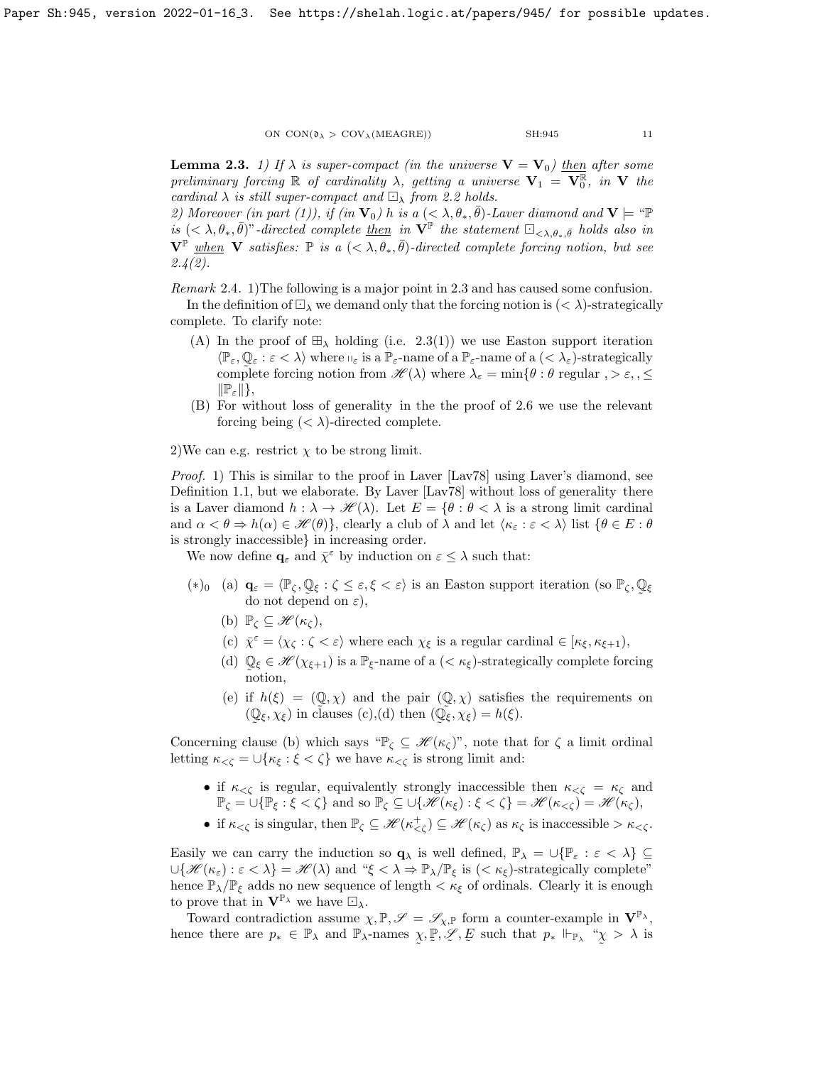<span id="page-10-0"></span>**Lemma 2.3.** 1) If  $\lambda$  is super-compact (in the universe  $V = V_0$ ) then after some preliminary forcing  $\mathbb R$  of cardinality  $\lambda$ , getting a universe  $V_1 = V_0^{\mathbb R}$ , in V the cardinal  $\lambda$  is still super-compact and  $\Box_{\lambda}$  from [2.2](#page-9-0) holds.

2) Moreover (in part (1)), if (in  $\mathbf{V}_0$ ) h is a  $( $\lambda, \theta_*, \overline{\theta}$ )-Laver diamond and  $\mathbf{V} \models$  " $\mathbb{P}$$ is  $( $\lambda, \theta_*, \overline{\theta}$ )"-directed complete <u>then</u> in  $\overrightarrow{\mathbf{V}}^{\mathbb{P}}$  the statement  $\square_{<\lambda,\theta_*,\overline{\theta}}$  holds also in$  $\mathbf{V}^{\mathbb{P}}$  when **V** satisfies:  $\mathbb{P}$  is a  $(< \lambda, \theta_*, \overline{\theta})$ -directed complete forcing notion, but see  $2.4(2)$  $2.4(2)$ .

<span id="page-10-1"></span>Remark 2.4. 1)The following is a major point in [2.3](#page-10-0) and has caused some confusion.

In the definition of  $\Box_{\lambda}$  we demand only that the forcing notion is  $(< \lambda$ )-strategically complete. To clarify note:

- (A) In the proof of  $\boxplus_{\lambda}$  holding (i.e. [2.3\(](#page-10-0)1)) we use Easton support iteration  $\langle \mathbb{P}_{\varepsilon}, \mathbb{Q}_{\varepsilon} : \varepsilon < \lambda \rangle$  where  $\mathbb{I}_{\varepsilon}$  is a  $\mathbb{P}_{\varepsilon}$ -name of a  $\mathbb{P}_{\varepsilon}$ -name of a  $( $\lambda_{\varepsilon}$ )-strategically$ complete forcing notion from  $\mathscr{H}(\lambda)$  where  $\lambda_{\varepsilon} = \min\{\theta : \theta \text{ regular }, \lambda > \varepsilon, \lambda \leq \varepsilon\}$  $\|\mathbb{P}_{\varepsilon}\|\},$
- (B) For without loss of generality in the the proof of [2.6](#page-13-0) we use the relevant forcing being  $\langle \langle \lambda \rangle$ -directed complete.

2)We can e.g. restrict  $\chi$  to be strong limit.

*Proof.* 1) This is similar to the proof in Laver  $[Law78]$  using Laver's diamond, see Definition [1.1,](#page-4-1) but we elaborate. By Laver [\[Lav78\]](#page-23-21) without loss of generality there is a Laver diamond  $h : \lambda \to \mathcal{H}(\lambda)$ . Let  $E = \{ \theta : \theta < \lambda \}$  is a strong limit cardinal and  $\alpha < \theta \Rightarrow h(\alpha) \in \mathscr{H}(\theta)$ , clearly a club of  $\lambda$  and let  $\langle \kappa_{\varepsilon} : \varepsilon < \lambda \rangle$  list  $\{\theta \in E : \theta$ is strongly inaccessible} in increasing order.

We now define  $\mathbf{q}_{\varepsilon}$  and  $\bar{\chi}^{\varepsilon}$  by induction on  $\varepsilon \leq \lambda$  such that:

- (\*)<sub>0</sub> (a)  $\mathbf{q}_{\varepsilon} = \langle \mathbb{P}_{\zeta}, \mathbb{Q}_{\xi} : \zeta \leq \varepsilon, \xi < \varepsilon \rangle$  is an Easton support iteration (so  $\mathbb{P}_{\zeta}, \mathbb{Q}_{\zeta}$ do not depend on  $\varepsilon$ ),  $\mathcal{L}$ ξ
	- (b)  $\mathbb{P}_{\zeta} \subseteq \mathscr{H}(\kappa_{\zeta}),$
	- (c)  $\bar{\chi}^{\epsilon} = \langle \chi_{\zeta} : \zeta < \epsilon \rangle$  where each  $\chi_{\xi}$  is a regular cardinal  $\in [\kappa_{\xi}, \kappa_{\xi+1}),$
	- (d)  $\mathbb{Q}_{\xi} \in \mathcal{H}(\chi_{\xi+1})$  is a  $\mathbb{P}_{\xi}$ -name of a  $(<\kappa_{\xi})$ -strategically complete forcing notion,
	- (e) if  $h(\xi) = (\mathbb{Q}, \chi)$  and the pair  $(\mathbb{Q}, \chi)$  satisfies the requirements on  $(\mathbb{Q}_{\xi}, \chi_{\xi})$  in clauses (c),(d) then  $(\widetilde{\mathbb{Q}_{\xi}})$  $\tilde{\phantom{a}}$  $(\xi, \chi_{\xi})$  in clauses (c),(d) then (Q)  $\tilde{\phantom{a}}$  $_{\xi}$ ,  $\chi_{\xi}$ ) =  $h(\xi)$ .

Concerning clause (b) which says " $\mathbb{P}_{\zeta} \subseteq \mathcal{H}(\kappa_{\zeta})$ ", note that for  $\zeta$  a limit ordinal letting  $\kappa_{\leq \zeta} = \bigcup \{\kappa_{\xi} : \xi \leq \zeta\}$  we have  $\kappa_{\leq \zeta}$  is strong limit and:

- if  $\kappa_{\leq \zeta}$  is regular, equivalently strongly inaccessible then  $\kappa_{\leq \zeta} = \kappa_{\zeta}$  and  $\mathbb{P}_{\zeta} = \bigcup \{ \mathbb{P}_{\xi} : \xi < \zeta \}$  and so  $\mathbb{P}_{\zeta} \subseteq \bigcup \{ \mathcal{H}(\kappa_{\xi}) : \xi < \zeta \} = \mathcal{H}(\kappa_{<\zeta}) = \mathcal{H}(\kappa_{\zeta}),$
- if  $\kappa_{< \zeta}$  is singular, then  $\mathbb{P}_{\zeta} \subseteq \mathscr{H}(\kappa_{< \zeta}^+) \subseteq \mathscr{H}(\kappa_{\zeta})$  as  $\kappa_{\zeta}$  is inaccessible  $> \kappa_{< \zeta}$ .

Easily we can carry the induction so  $\mathbf{q}_{\lambda}$  is well defined,  $\mathbb{P}_{\lambda} = \cup \{\mathbb{P}_{\varepsilon} : \varepsilon < \lambda\} \subseteq$  $\bigcup \{\mathscr{H}(\kappa_{\varepsilon}) : \varepsilon < \lambda\} = \mathscr{H}(\lambda)$  and " $\xi < \lambda \Rightarrow \mathbb{P}_{\lambda}/\mathbb{P}_{\xi}$  is  $(< \kappa_{\xi})$ -strategically complete" hence  $\mathbb{P}_{\lambda}/\mathbb{P}_{\xi}$  adds no new sequence of length  $\langle \kappa_{\xi} \rangle$  of ordinals. Clearly it is enough to prove that in  $\mathbf{V}^{\mathbb{P}_{\lambda}}$  we have  $\Box_{\lambda}$ .

Toward contradiction assume  $\chi, \mathbb{P}, \mathscr{S} = \mathscr{S}_{\chi, \mathbb{P}}$  form a counter-example in  $\mathbf{V}^{\mathbb{P}_{\lambda}},$ hence there are  $p_* \in \mathbb{P}_\lambda$  and  $\mathbb{P}_\lambda$ -names  $\chi, \mathbb{P}, \mathscr{L}, E$  such that  $p_* \Vdash_{\mathbb{P}_\lambda} \mathscr{L} \geq \lambda$  is ˜ ˜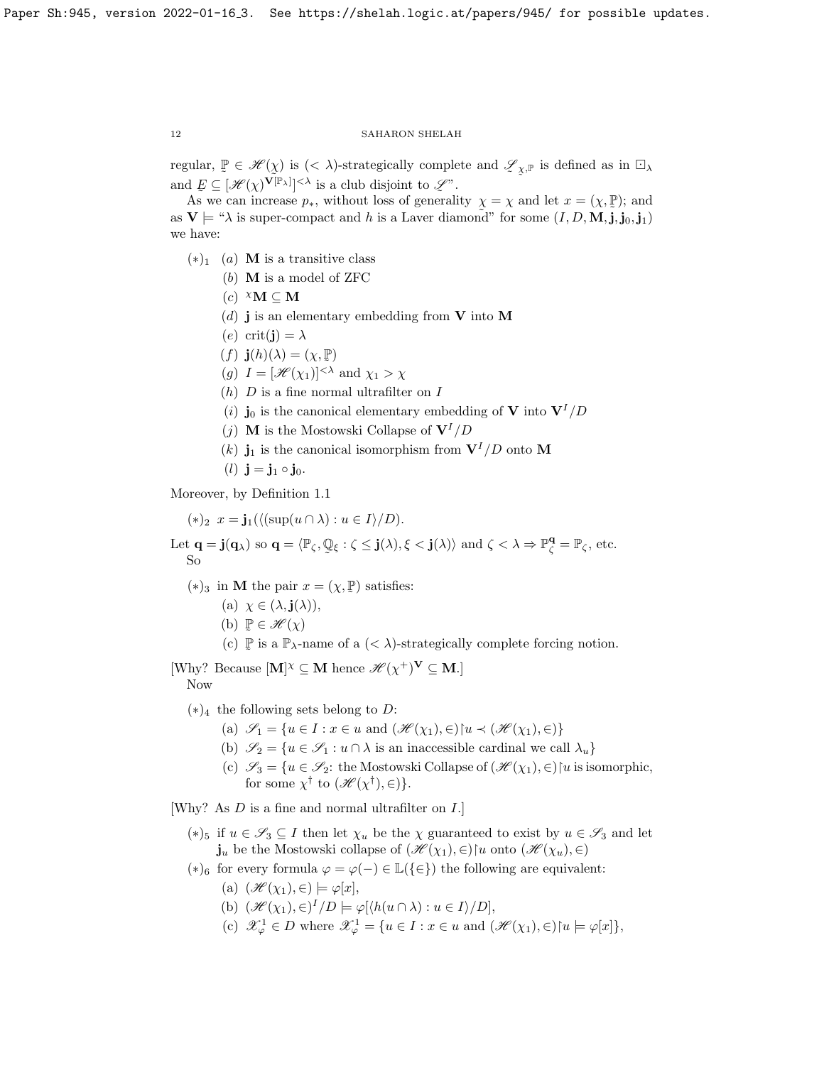regular,  $\mathbb{P} \in \mathcal{H}(\chi)$  is  $(< \lambda)$ -strategically complete and  $\mathscr{L}_{\chi,\mathbb{P}}$  is defined as in  $\square_{\lambda}$ and  $E \subseteq [\mathcal{H}(\chi)^{\mathbf{V}[\mathbb{P}_{\lambda}]}]^{<\lambda}$  is a club disjoint to  $\mathcal{L}^n$ .  $\tilde{\phantom{a}}$ 

As we can increase  $p_*,$  without loss of generality  $\chi = \chi$  and let  $x = (\chi, \mathbb{P})$ ; and as  $V \models ``\lambda$  is super-compact and h is a Laver diamond" for some  $(I, D, M, j, j_0, j_1)$ we have:

- $(*)_1$  (a) **M** is a transitive class
	- (b) M is a model of ZFC
	- (c)  $^{\chi}$ **M**  $\subseteq$  **M**
	- (d) **j** is an elementary embedding from **V** into **M**
	- (e) crit(j) =  $\lambda$
	- $(f)$   $\mathbf{j}(h)(\lambda) = (\chi, \mathbb{P})$
	- (g)  $I = [\mathcal{H}(\chi_1)]^{<\lambda}$  and  $\chi_1 > \chi$
	- (h)  $D$  is a fine normal ultrafilter on  $I$
	- (i) j<sub>0</sub> is the canonical elementary embedding of **V** into  $V^{I}/D$
	- (*j*) **M** is the Mostowski Collapse of  $V^{I}/D$
	- (k)  $\mathbf{j}_1$  is the canonical isomorphism from  $\mathbf{V}^I/D$  onto M
	- (*l*)  $j = j_1 \circ j_0$ .

Moreover, by Definition [1.1](#page-4-1)

 $(*)_2$   $x = \mathbf{j}_1(\langle (\sup(u \cap \lambda) : u \in I \rangle / D).$ 

Let  $\mathbf{q} = \mathbf{j}(\mathbf{q}_{\lambda})$  so  $\mathbf{q} = \langle \mathbb{P}_{\zeta}, \mathbb{Q} \rangle$  $\tilde{\phantom{a}}$  $\xi : \zeta \leq \mathbf{j}(\lambda), \xi < \mathbf{j}(\lambda)$  and  $\zeta < \lambda \Rightarrow \mathbb{P}_{\zeta}^{\mathbf{q}} = \mathbb{P}_{\zeta}$ , etc. So

- (\*)<sub>3</sub> in **M** the pair  $x = (\chi, \mathbb{P})$  satisfies:
	- (a)  $\chi \in (\lambda, \mathbf{j}(\lambda)),$
	- (b)  $\mathbb{P} \in \mathscr{H}(\chi)$
	- (c)  $\mathbb{P}$  is a  $\mathbb{P}_{\lambda}$ -name of a  $(< \lambda$ )-strategically complete forcing notion.  $\tilde{\phantom{a}}$

[Why? Because  $[M]^{\chi} \subseteq M$  hence  $\mathscr{H}(\chi^+)^{\mathbf{V}} \subseteq M$ .] Now

- $(*)_4$  the following sets belong to D:
	- (a)  $\mathscr{S}_1 = \{u \in I : x \in u \text{ and } (\mathscr{H}(\chi_1), \in) | u \prec (\mathscr{H}(\chi_1), \in) \}$
	- (b)  $\mathscr{S}_2 = \{u \in \mathscr{S}_1 : u \cap \lambda \text{ is an inaccessible cardinal we call } \lambda_u\}$
	- (c)  $\mathscr{S}_3 = \{u \in \mathscr{S}_2\colon \text{the Mostowski Collapse of } (\mathscr{H}(\chi_1), \in) | u \text{ is isomorphic},\}$ for some  $\chi^{\dagger}$  to  $(\mathscr{H}(\chi^{\dagger}), \in)$ .

[Why? As D is a fine and normal ultrafilter on I.]

- (\*)<sub>5</sub> if  $u \in \mathscr{S}_3 \subseteq I$  then let  $\chi_u$  be the  $\chi$  guaranteed to exist by  $u \in \mathscr{S}_3$  and let  $\mathbf{j}_u$  be the Mostowski collapse of  $(\mathscr{H}(\chi_1), \in)$  onto  $(\mathscr{H}(\chi_u), \in)$
- (\*)<sub>6</sub> for every formula  $\varphi = \varphi(-) \in \mathbb{L}({\{\in\}})$  the following are equivalent:
	- (a)  $(\mathscr{H}(\chi_1), \in) \models \varphi[x],$
	- (b)  $(\mathcal{H}(\chi_1), \in)^I/D \models \varphi[\langle h(u \cap \lambda) : u \in I \rangle/D],$
	- (c)  $\mathscr{X}_{\varphi}^1 \in D$  where  $\mathscr{X}_{\varphi}^1 = \{u \in I : x \in u \text{ and } (\mathscr{H}(\chi_1), \in) \mid u \models \varphi[x]\},\$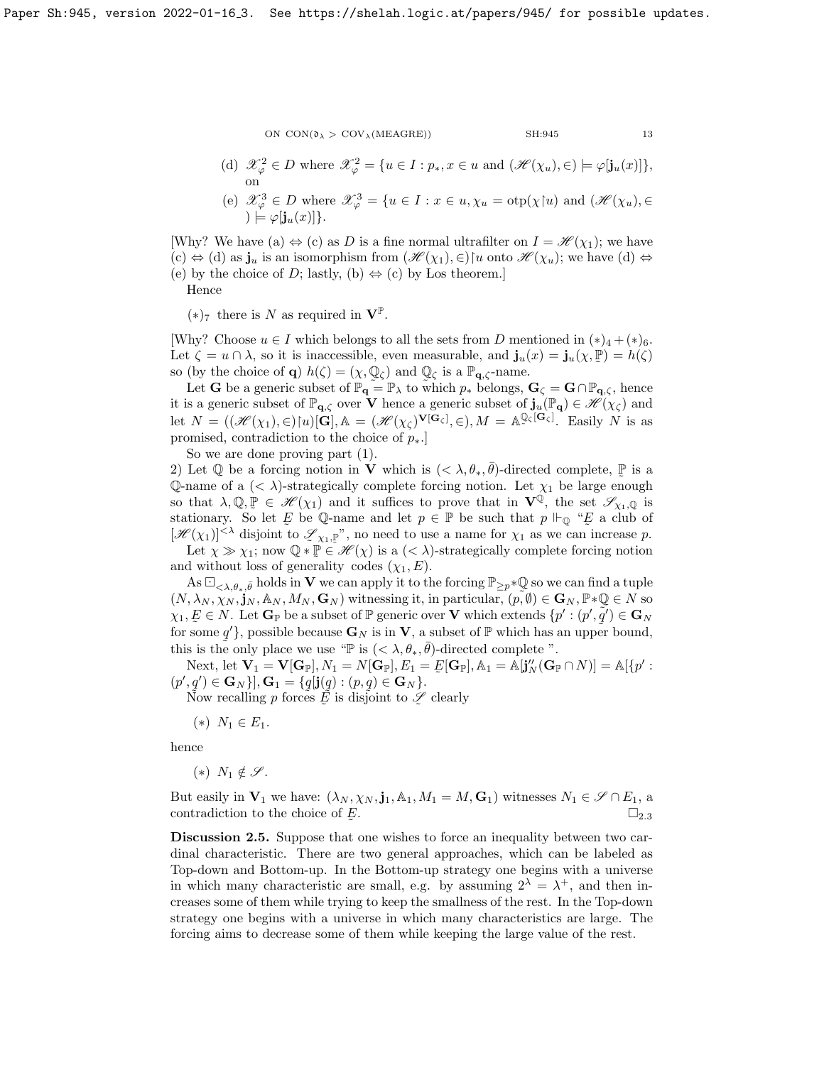- 
- (d)  $\mathscr{X}_{\varphi}^2 \in D$  where  $\mathscr{X}_{\varphi}^2 = \{u \in I : p_*, x \in u \text{ and } (\mathscr{H}(\chi_u), \in) \models \varphi[j_u(x)]\},\$ on
- (e)  $\mathscr{X}_{\varphi}^3 \in D$  where  $\mathscr{X}_{\varphi}^3 = \{u \in I : x \in u, \chi_u = \text{otp}(\chi \upharpoonright u) \text{ and } (\mathscr{H}(\chi_u), \in$  $) \models \varphi[\mathbf{j}_u(x)]\}.$

[Why? We have (a)  $\Leftrightarrow$  (c) as D is a fine normal ultrafilter on  $I = \mathcal{H}(\chi_1)$ ; we have  $(c) \Leftrightarrow (d)$  as  $\mathbf{j}_u$  is an isomorphism from  $(\mathscr{H}(\chi_1), \in)$  anto  $\mathscr{H}(\chi_u)$ ; we have  $(d) \Leftrightarrow (d)$ (e) by the choice of D; lastly, (b)  $\Leftrightarrow$  (c) by Los theorem. Hence

 $(*)_7$  there is N as required in  $V^P$ .

[Why? Choose  $u \in I$  which belongs to all the sets from D mentioned in  $(*)_4 + (*)_6$ . Let  $\zeta = u \cap \lambda$ , so it is inaccessible, even measurable, and  $\mathbf{j}_u(x) = \mathbf{j}_u(\chi, \mathbb{P}) = h(\zeta)$ <br>so (by the choice of  $\alpha$ )  $h(\zeta) = (\chi, \mathbb{Q})$  and  $\mathbb{Q}_v$  is a  $\mathbb{P}_v$  then  $m$ so (by the choice of **q**)  $h(\zeta) = (\chi, \mathbb{Q}_{\zeta})$  and  $\mathbb{Q}_{\zeta}$  is a  $\mathbb{P}_{q,\zeta}$ -name.

Let **G** be a generic subset of  $\mathbb{P}_{q} = \mathbb{P}_{\lambda}$  to which  $p_*$  belongs,  $\mathbf{G}_{\zeta} = \mathbf{G} \cap \mathbb{P}_{q,\zeta}$ , hence it is a generic subset of  $\mathbb{P}_{q,\zeta}$  over V hence a generic subset of  $\mathbf{j}_u(\mathbb{P}_q) \in \mathscr{H}(\chi_{\zeta})$  and let  $N = ((\mathcal{H}(\chi_1), \in)[u][\mathbf{G}], \mathbb{A}) = (\mathcal{H}(\chi_{\zeta})^{\mathbf{V}[\mathbf{G}_{\zeta}]}, \in), M = \mathbb{A}^{\mathbb{Q}}$  $\mathbb{Q}_\zeta[\mathbf{G}_\zeta]$ . Easily N is as promised, contradiction to the choice of  $p_{\ast}$ .

So we are done proving part (1).

2) Let  $\mathbb Q$  be a forcing notion in **V** which is  $( $\lambda, \theta_*, \overline{\theta}$ )-directed complete,  $\mathbb P$  is a$  $\overline{Q}$ -name of a  $\langle \langle \lambda \rangle$ -strategically complete forcing notion. Let  $\chi_1$  be large enough so that  $\lambda, \mathbb{Q}, \mathbb{P} \in \mathscr{H}(\chi_1)$  and it suffices to prove that in  $\mathbf{V}^{\mathbb{Q}}$ , the set  $\mathscr{S}_{\chi_1, \mathbb{Q}}$  is stationary. So let E be Q-name and let  $p \in \mathbb{P}$  be such that  $p \Vdash_{\mathbb{Q}} \Uparrow_{E}^{\infty}$  a club of  $[\mathcal{H}(\chi_1)]^{<\lambda}$  disjoint to  $\mathcal{L}_{\chi_1,\mathbb{P}}$ ", no need to use a name for  $\chi_1$  as we can increase p.

Let  $\chi \gg \chi_1$ ; now  $\mathbb{Q} * \mathbb{P} \in \mathcal{H}(\chi)$  is a  $(< \lambda)$ -strategically complete forcing notion and without loss of generality codes  $(\chi_1, E)$ .

As  $\Box_{\langle \lambda,\theta_*,\bar{\theta}}$  holds in V we can apply it to the forcing  $\mathbb{P}_{\geq p}*\mathbb{Q}$  so we can find a tuple  $(N, \lambda_N, \chi_N, \mathbf{j}_N, \mathbb{A}_N, M_N, \mathbf{G}_N)$  witnessing it, in particular,  $(\tilde{\rho}, \tilde{\boldsymbol{\theta}}) \in \mathbf{G}_N, \mathbb{P} * \mathbb{Q} \in N$  so  $\chi_1, E \in N$ . Let  $\mathbf{G}_{\mathbb{P}}$  be a subset of  $\mathbb{P}$  generic over **V** which extends  $\{p' : (p', q') \in \mathbf{G}_{N}\}$ for some q'}, possible because  $\mathbf{G}_N$  is in  $\mathbf{V}$ , a subset of  $\mathbb{P}$  which has an upper bound, this is the only place we use " $\mathbb{P}$  is  $( $\lambda, \theta_*, \overline{\theta}$ )-directed complete".$ 

Next, let  $\mathbf{V}_1 = \mathbf{V}[\mathbf{G}_{\mathbb{P}}], N_1 = N[\mathbf{G}_{\mathbb{P}}], E_1 = E[\mathbf{G}_{\mathbb{P}}], \mathbb{A}_1 = \mathbb{A}[\mathbf{j}_N''(\mathbf{G}_{\mathbb{P}} \cap N)] = \mathbb{A}[\{p' :$ <br>  $g' \in \mathbf{G}_{\mathcal{N}}\}\mathbf{G}_{\mathbb{P}} - f_g[\mathbf{j}_R'(\mathbf{G}_{\mathbb{P}} \cap N)] = \mathbb{A}[\mathbf{G}_{\mathbb{P}}]$  $(p', q') \in \mathbf{G}_N$ },  $\mathbf{G}_1 = \{q[\mathbf{j}(q) : (p, q) \in \mathbf{G}_N\}.$ 

Now recalling p forces  $\tilde{E}$  is disjoint to  $\mathscr{L}$  clearly

 $(*) N_1 \in E_1.$ 

hence

 $(*) N_1 \notin \mathscr{S}$ .

But easily in  $V_1$  we have:  $(\lambda_N, \chi_N, \mathbf{j}_1, \mathbb{A}_1, M_1 = M, \mathbf{G}_1)$  witnesses  $N_1 \in \mathcal{S} \cap E_1$ , a contradiction to the choice of  $E$ .  $\square_{2.3}$  $\square_{2.3}$  $\square_{2.3}$ 

Discussion 2.5. Suppose that one wishes to force an inequality between two cardinal characteristic. There are two general approaches, which can be labeled as Top-down and Bottom-up. In the Bottom-up strategy one begins with a universe in which many characteristic are small, e.g. by assuming  $2^{\lambda} = \lambda^{+}$ , and then increases some of them while trying to keep the smallness of the rest. In the Top-down strategy one begins with a universe in which many characteristics are large. The forcing aims to decrease some of them while keeping the large value of the rest.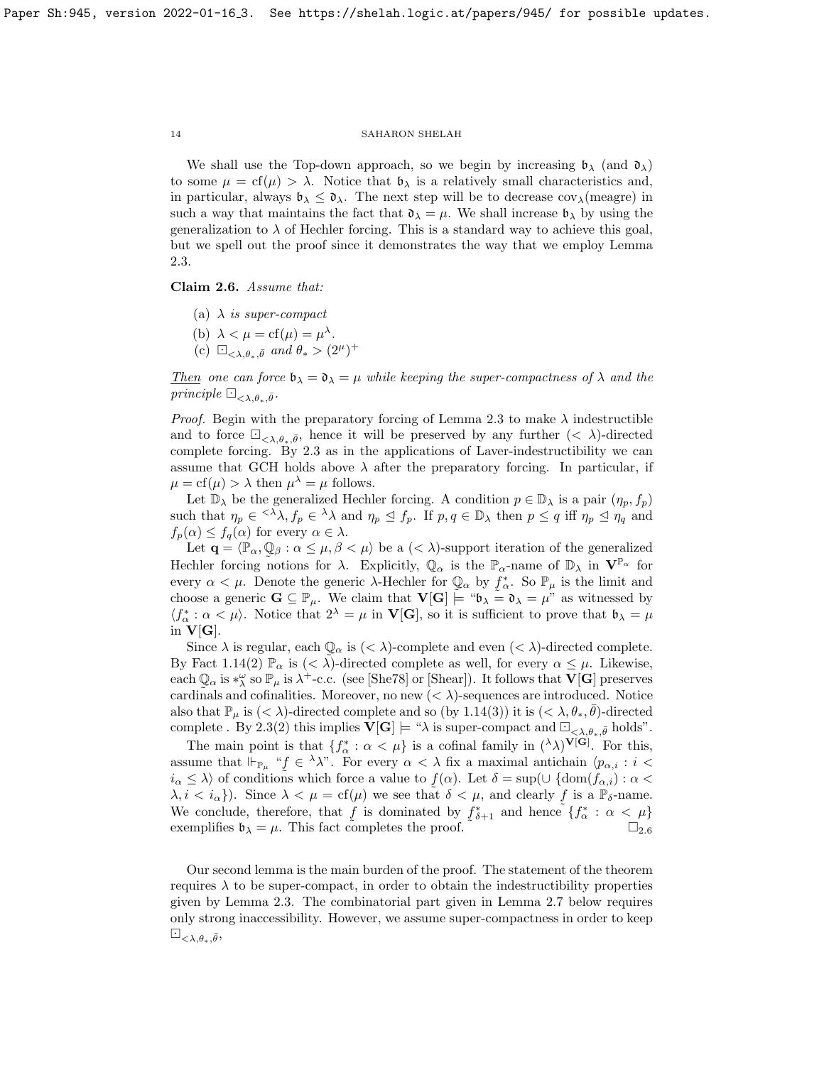We shall use the Top-down approach, so we begin by increasing  $\mathfrak{b}_{\lambda}$  (and  $\mathfrak{d}_{\lambda}$ ) to some  $\mu = cf(\mu) > \lambda$ . Notice that  $\mathfrak{b}_{\lambda}$  is a relatively small characteristics and, in particular, always  $\mathfrak{b}_{\lambda} \leq \mathfrak{d}_{\lambda}$ . The next step will be to decrease  $cov_{\lambda}$ (meagre) in such a way that maintains the fact that  $\mathfrak{d}_{\lambda} = \mu$ . We shall increase  $\mathfrak{b}_{\lambda}$  by using the generalization to  $\lambda$  of Hechler forcing. This is a standard way to achieve this goal, but we spell out the proof since it demonstrates the way that we employ Lemma [2.3.](#page-10-0)

<span id="page-13-0"></span>Claim 2.6. Assume that:

- (a)  $\lambda$  is super-compact
- (b)  $\lambda < \mu = \text{cf}(\mu) = \mu^{\lambda}$ .
- (c)  $\Box_{\langle \lambda,\theta_*,\bar{\theta} \rangle}$  and  $\theta_* > (2^\mu)^+$

Then one can force  $\mathfrak{b}_{\lambda} = \mathfrak{d}_{\lambda} = \mu$  while keeping the super-compactness of  $\lambda$  and the principle  $\Box_{\langle \lambda,\theta_*,\bar{\theta}}$ .

*Proof.* Begin with the preparatory forcing of Lemma [2.3](#page-10-0) to make  $\lambda$  indestructible and to force  $\Box_{\langle\lambda,\theta_*,\bar{\theta}\rangle}$ , hence it will be preserved by any further  $(<\lambda$ )-directed complete forcing. By [2.3](#page-10-0) as in the applications of Laver-indestructibility we can assume that GCH holds above  $\lambda$  after the preparatory forcing. In particular, if  $\mu = \text{cf}(\mu) > \lambda$  then  $\mu^{\lambda} = \mu$  follows.

Let  $\mathbb{D}_{\lambda}$  be the generalized Hechler forcing. A condition  $p \in \mathbb{D}_{\lambda}$  is a pair  $(\eta_p, f_p)$ such that  $\eta_p \in \langle \lambda \lambda, f_p \in \lambda \lambda \text{ and } \eta_p \leq f_p$ . If  $p, q \in \mathbb{D}_{\lambda}$  then  $p \leq q$  iff  $\eta_p \leq \eta_q$  and  $f_p(\alpha) \leq f_q(\alpha)$  for every  $\alpha \in \lambda$ .

Let  $\mathbf{q} = \langle \mathbb{P}_{\alpha}, \mathbb{Q}_{\beta} : \alpha \leq \mu, \beta < \mu \rangle$  be a  $( $\lambda$ )-support iteration of the generalized$ Hechler forcing notions for  $\lambda$ . Explicitly,  $\mathbb{Q}_{\alpha}$  is the  $\mathbb{P}_{\alpha}$ -name of  $\mathbb{D}_{\lambda}$  in  $\mathbf{V}^{\mathbb{P}_{\alpha}}$  for every  $\alpha < \mu$ . Denote the generic  $\lambda$ -Hechler for  $\mathbb{Q}_{\alpha}$  by  $f_{\alpha}^*$ . So  $\mathbb{P}_{\mu}$  is the limit and choose a generic  $\mathbf{G} \subseteq \mathbb{P}_{\mu}$ . We claim that  $\mathbf{V}[\mathbf{G}] \stackrel{\sim}{\models} \mathbf{W} \circ \mathbf{S} = \mathbf{V}$  as witnessed by  $\langle f^*_{\alpha} : \alpha < \mu \rangle$ . Notice that  $2^{\lambda} = \mu$  in **V[G**], so it is sufficient to prove that  $\mathfrak{b}_{\lambda} = \mu$ in  $V[G]$ .

Since  $\lambda$  is regular, each  $\mathbb{Q}_{\alpha}$  is  $(< \lambda)$ -complete and even  $(< \lambda)$ -directed complete. By Fact [1.14\(](#page-8-0)2)  $\mathbb{P}_{\alpha}$  is  $( $\tilde{\lambda}$ -directed complete as well, for every  $\alpha \leq \mu$ . Likewise,$ each  $\mathbb{Q}_\alpha$  is  $*_\lambda^\omega$  so  $\mathbb{P}_\mu$  is  $\lambda^+$ -c.c. (see [\[She78\]](#page-23-22) or [\[Shear\]](#page-23-23)). It follows that  $\mathbf{V}[\mathbf{G}]$  preserves cardinals and cofinalities. Moreover, no new  $( $\lambda$ )-sequences are introduced. Notice$ also that  $\mathbb{P}_{\mu}$  is  $(< \lambda$ )-directed complete and so (by [1.14\(](#page-8-0)3)) it is  $(< \lambda, \theta_*, \overline{\theta})$ -directed complete . By [2.3\(](#page-10-0)2) this implies  $\mathbf{V}[\mathbf{G}] \models \text{``$\lambda$}$  is super-compact and  $\Box_{\langle \lambda,\theta_*,\bar{\theta}}$  holds".

The main point is that  $\{f^*_{\alpha} : \alpha < \mu\}$  is a cofinal family in  $({}^{\lambda} \lambda)^{V[G]}$ . For this, assume that  $\Vdash_{\mathbb{P}_{\mu}}$  " $f \in \lambda \lambda$ ". For every  $\alpha < \lambda$  fix a maximal antichain  $\langle p_{\alpha,i} : i <$  $i_{\alpha} \leq \lambda$  of conditions which force a value to  $f(\alpha)$ . Let  $\delta = \sup(\cup \{\text{dom}(\tilde{f}_{\alpha,i}) : \alpha$  $\lambda, i < i_{\alpha}$ . Since  $\lambda < \mu = \text{cf}(\mu)$  we see that  $\delta < \mu$ , and clearly f is a  $\mathbb{P}_{\delta}$ -name. We conclude, therefore, that f is dominated by  $f_{\delta+1}^*$  and hence exemplifies  $\mathfrak{b}_{\lambda} = \mu$ . This fact completes the proof.  $\Box_{2.6}$  $\Box_{2.6}$  $\Box_{2.6}$ ˜  $\delta_{+1}$  and hence  $\{f^*_{\alpha} : \alpha < \mu\}$ 

Our second lemma is the main burden of the proof. The statement of the theorem requires  $\lambda$  to be super-compact, in order to obtain the indestructibility properties given by Lemma [2.3.](#page-10-0) The combinatorial part given in Lemma [2.7](#page-14-0) below requires only strong inaccessibility. However, we assume super-compactness in order to keep  $\Box_{\langle \lambda,\theta_*,\bar{\theta}},$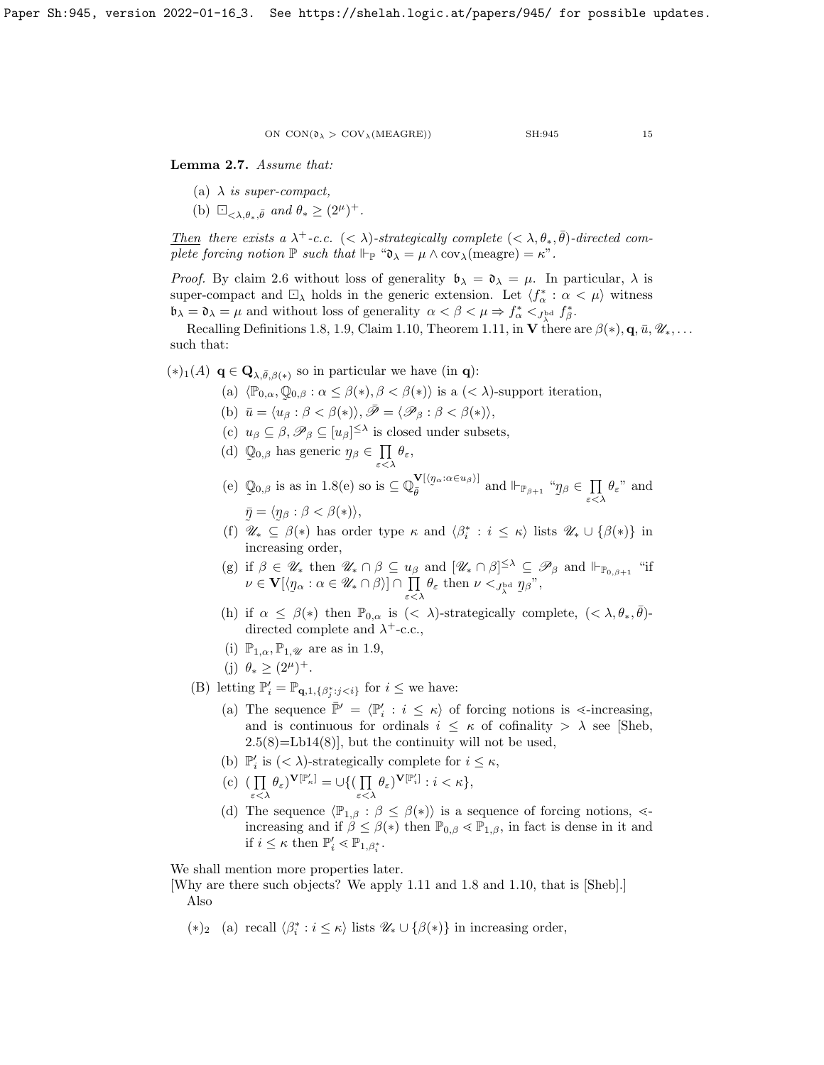<span id="page-14-0"></span>Lemma 2.7. Assume that:

- (a)  $\lambda$  is super-compact,
- (b)  $\Box_{\langle \lambda,\theta_*,\bar{\theta}} \text{ and } \theta_* \geq (2^\mu)^+$ .

Then there exists a  $\lambda^+$ -c.c.  $(< \lambda$ )-strategically complete  $(< \lambda, \theta_*, \overline{\theta})$ -directed complete forcing notion  $\mathbb P$  such that  $\Vdash_{\mathbb P}$  " $\mathfrak{d}_\lambda = \mu \wedge \text{cov}_\lambda(\text{measure}) = \kappa$ ".

*Proof.* By claim [2.6](#page-13-0) without loss of generality  $\mathfrak{b}_{\lambda} = \mathfrak{d}_{\lambda} = \mu$ . In particular,  $\lambda$  is super-compact and  $\Box_{\lambda}$  holds in the generic extension. Let  $\langle f^*_{\alpha} : \alpha < \mu \rangle$  witness  $\mathfrak{b}_{\lambda} = \mathfrak{d}_{\lambda} = \mu$  and without loss of generality  $\alpha < \beta < \mu \Rightarrow f_{\alpha}^* < f_{\lambda}^*$ ,  $f_{\beta}^*$ .

Recalling Definitions [1.8,](#page-5-0) [1.9,](#page-6-0) Claim [1.10,](#page-6-1) Theorem [1.11,](#page-7-1) in V there are  $\beta(*)$ ,  $\mathbf{q}, \bar{u}, \mathcal{U}_*, \ldots$ such that:

 $(*)_1(A) \mathbf{q} \in \mathbf{Q}_{\lambda,\bar{\theta},\beta(*)}$  so in particular we have (in **q**):

- (a)  $\langle \mathbb{P}_{0,\alpha}, \mathbb{Q}_{0,\beta} : \alpha \leq \beta(*) , \beta < \beta(*) \rangle$  is a  $( $\lambda$ )-support iteration,$
- (b)  $\bar{u} = \langle u_{\beta} : \beta < \beta(*) \rangle, \bar{\mathscr{P}} = \langle \mathscr{P}_{\beta} : \beta < \beta(*) \rangle,$
- (c)  $u_{\beta} \subseteq \beta$ ,  $\mathscr{P}_{\beta} \subseteq [u_{\beta}]^{\leq \lambda}$  is closed under subsets,
- (d) Q  $\tilde{\phantom{a}}$  $_{0,\beta}$  has generic  $\eta$  $\tilde{a}$  $β ∈ Π$  $\prod_{\varepsilon<\lambda}\theta_\varepsilon,$

(e) Q  $\tilde{\phantom{a}}$  $_{0,\beta}$  is as in [1.8\(](#page-5-0)e) so is  $\subseteq \mathbb{Q}_{\bar{\theta}}^{\mathbf{V}[\langle \eta_{\alpha}:\alpha \in u_{\beta} \rangle]}$  and  $\Vdash_{\mathbb{P}_{\beta+1}}$  " $\eta$ β $\in$   $\Pi$  $\prod_{\varepsilon<\lambda}\theta_{\varepsilon}$ " and  $\bar{\eta} = \langle \eta_\beta : \beta < \beta(*) \rangle,$ 

- (f)  $\mathscr{U}_* \subseteq \beta(*)$  has order type  $\kappa$  and  $\langle \beta_i^* : i \leq \kappa \rangle$  lists  $\mathscr{U}_* \cup \{\beta(*)\}$  in increasing order,
- (g) if  $\beta \in \mathscr{U}_*$  then  $\mathscr{U}_* \cap \beta \subseteq u_\beta$  and  $[\mathscr{U}_* \cap \beta]^{\leq \lambda} \subseteq \mathscr{P}_\beta$  and  $\Vdash_{\mathbb{P}_{0,\beta+1}}$  "if  $\nu\in{\bf V}[\langle\eta$  $\tilde{\phantom{a}}$  $\alpha$  :  $\alpha \in \mathscr{U}_* \cap \beta$ )  $\cap$   $\prod$  $\prod_{\varepsilon < \lambda} \theta_{\varepsilon}$  then  $\nu <_{J_{\lambda}^{\text{bd}}} \eta$  $\tilde{\phantom{a}}$  $_{\beta}$ ",
- (h) if  $\alpha \leq \beta(*)$  then  $\mathbb{P}_{0,\alpha}$  is  $( $\lambda$ )-strategically complete,  $( $\lambda, \theta_*, \overline{\theta}$ )$$ directed complete and  $\lambda^+$ -c.c.,
- (i)  $\mathbb{P}_{1,\alpha}, \mathbb{P}_{1,\mathcal{U}}$  are as in [1.9,](#page-6-0)
- (j)  $\theta_* \geq (2^{\mu})^+$ .

(B) letting  $\mathbb{P}'_i = \mathbb{P}_{\mathbf{q},1,\{\beta_j^*:j for  $i \leq \infty$  have:$ 

- (a) The sequence  $\bar{\mathbb{P}}' = \langle \mathbb{P}'_i : i \leq \kappa \rangle$  of forcing notions is  $\leq$ -increasing, and is continuous for ordinals  $i \leq \kappa$  of cofinality  $> \lambda$  see [\[Sheb,](#page-23-0)  $2.5(8)$ =Lb14(8)], but the continuity will not be used,
- (b)  $\mathbb{P}'_i$  is  $( $\lambda$ )-strategically complete for  $i \leq \kappa$ ,$
- $(c)$  (  $\prod$  $\prod_{\varepsilon<\lambda}\theta_{\varepsilon}$ ) $^{\mathbf{V}[\mathbb{P}_{\kappa}']}=\cup\{(\prod_{\varepsilon<\lambda}$  $\prod_{\varepsilon < \lambda} \theta_{\varepsilon}$ ) $^{\mathbf{V}[\mathbb{P}'_i]}$  :  $i < \kappa$ ,
- (d) The sequence  $\langle \mathbb{P}_{1,\beta} : \beta \leq \beta(*) \rangle$  is a sequence of forcing notions,  $\leq$ increasing and if  $\beta \leq \beta(*)$  then  $\mathbb{P}_{0,\beta} \leq \mathbb{P}_{1,\beta}$ , in fact is dense in it and if  $i \leq \kappa$  then  $\mathbb{P}'_i \leq \mathbb{P}_{1,\beta_i^*}$ .

We shall mention more properties later.

[Why are there such objects? We apply [1.11](#page-7-1) and [1.8](#page-5-0) and [1.10,](#page-6-1) that is [\[Sheb\]](#page-23-0).] Also

(\*)<sub>2</sub> (a) recall  $\langle \beta_i^* : i \leq \kappa \rangle$  lists  $\mathscr{U}_* \cup \{ \beta(*) \}$  in increasing order,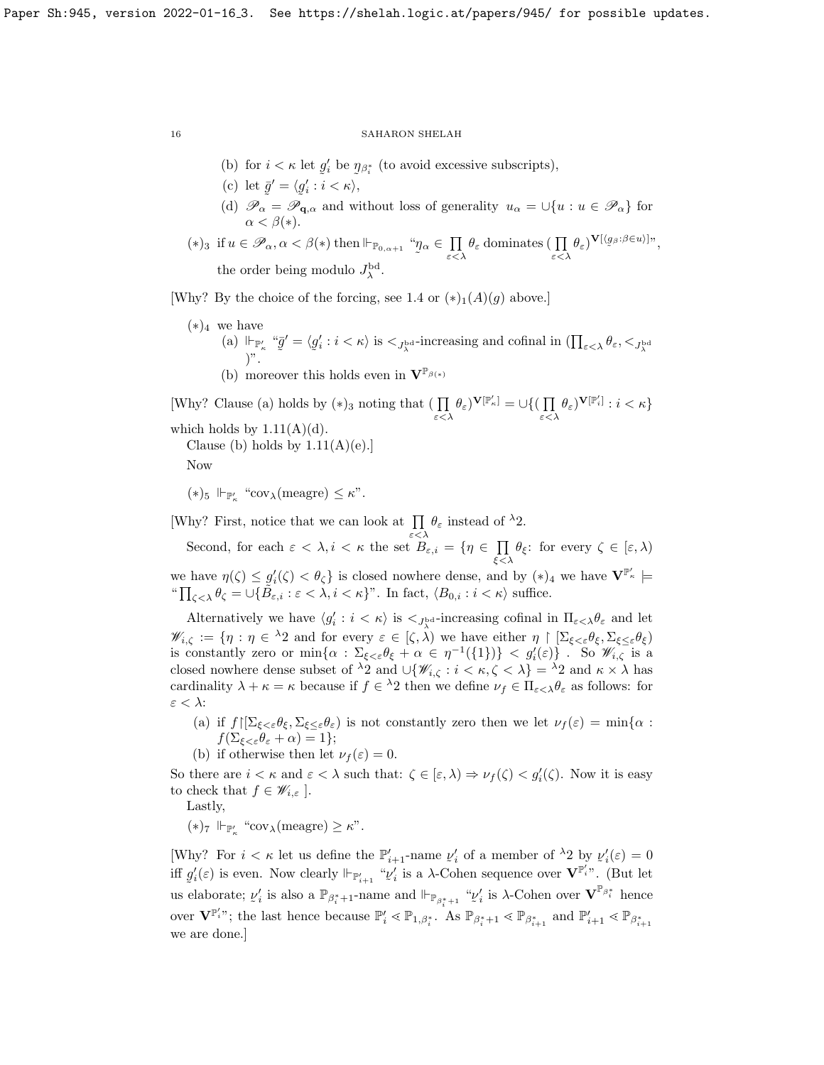- (b) for  $i < \kappa$  let  $g_i'$  be  $\eta_{\beta_i^*}$  (to avoid excessive subscripts),
- (c) let  $\bar{g}' = \langle g'_i : i < \kappa \rangle$ ,
- (d)  $\mathscr{P}_{\alpha} = \mathscr{P}_{\mathbf{q},\alpha}$  and without loss of generality  $u_{\alpha} = \bigcup \{u : u \in \mathscr{P}_{\alpha}\}\)$  for  $\alpha < \beta(*)$ .
- (\*)<sub>3</sub> if  $u \in \mathscr{P}_\alpha, \alpha < \beta$ (\*) then  $\Vdash_{\mathbb{P}_{0,\alpha+1}}$  "*n*  $\tilde{\phantom{a}}$  $_{\alpha} \in \ \prod$  $\prod_{\varepsilon<\lambda}\theta_{\varepsilon}$  dominates  $(\prod_{\varepsilon<\lambda}\theta_{\varepsilon})^{\mathbf{V}[\langle g_{\beta}:\beta\in u\rangle]}\gamma,$ the order being modulo  $J_{\lambda}^{\rm bd}$ .

[Why? By the choice of the forcing, see [1.4](#page-4-0) or  $(*)_1(A)(g)$  above.]

 $(*)_4$  we have (a)  $\Vdash_{\mathbb{P}'_{\kappa}}$  " $\overline{g}$ ˜  $\prime = \langle g$ ˜  $\Vdash_{\mathbb{P}'_{\kappa}}$  " $\bar{g}' = \langle g'_i : i < \kappa \rangle$  is  $\langle J_{\lambda}^{\text{bd}}$ -increasing and cofinal in  $\left(\prod_{\varepsilon < \lambda} \theta_{\varepsilon}, \langle J_{\lambda}^{\text{bd}} \rangle \right)$ ". (b) moreover this holds even in  $\mathbf{V}^{\mathbb{P}_{\beta(*)}}$ 

[Why? Clause (a) holds by  $(*)_3$  noting that  $\left(\prod_{\varepsilon<\lambda}\theta_{\varepsilon}\right)^{\mathbf{V}[\mathbb{P}'_\kappa]}=\cup\left\{\right(\prod_{\varepsilon<\lambda}\theta_{\varepsilon}\right\}$  $\prod_{\varepsilon<\lambda}\theta_{\varepsilon}$ ) $^{\mathbf{V}[\mathbb{P}'_i]}$  :  $i < \kappa$ } which holds by  $1.11(A)(d)$ . Clause (b) holds by  $1.11(A)(e)$ .

Now

(\*)<sub>5</sub>  $\Vdash_{\mathbb{P}'_{\kappa}}$  "cov<sub> $\lambda$ </sub>(meagre)  $\leq \kappa$ ".

[Why? First, notice that we can look at  $\prod \theta_{\varepsilon}$  instead of  $\lambda$ 2.

Second, for each  $\varepsilon < \lambda, i < \kappa$  the set  $B_{\varepsilon,i} = \{ \eta \in \prod$  $\prod_{\xi<\lambda}\theta_{\xi}$ : for every  $\zeta \in [\varepsilon, \lambda)$ we have  $\eta(\zeta) \leq g_i'(\zeta) < \theta_{\zeta}$  is closed nowhere dense, and by  $(*)_4$  we have  $\mathbf{V}^{\mathbb{P}'_{\kappa}}$   $\models$ " $\prod_{\zeta<\lambda} \theta_{\zeta} = \bigcup \{ \tilde{B}_{\varepsilon,i} : \varepsilon < \lambda, i < \kappa \}''.$  In fact,  $\langle B_{0,i} : i < \kappa \rangle$  suffice.

Alternatively we have  $\langle g_i': i < \kappa \rangle$  is  $\langle f_{\lambda}^{\text{bd}}$ -increasing cofinal in  $\Pi_{\varepsilon \langle \lambda} \theta_{\varepsilon}$  and let  $\mathscr{W}_{i,\zeta} := \{ \eta : \eta \in {}^{\lambda}2 \text{ and for every } \varepsilon \in [\zeta, \lambda) \text{ we have either } \eta \upharpoonright [\Sigma_{\xi < \varepsilon} \theta_{\xi}, \Sigma_{\xi \le \varepsilon} \theta_{\xi}]$ is constantly zero or  $\min\{\alpha : \Sigma_{\xi<\varepsilon}\theta_{\xi} + \alpha \in \eta^{-1}(\{1\})\} < g'_{i}(\varepsilon)\}\.$  So  $\mathscr{W}_{i,\zeta}$  is a closed nowhere dense subset of  $\lambda_2$  and  $\cup \{ \mathscr{W}_{i,\zeta} : i < \kappa, \zeta < \lambda \} = \lambda_2$  and  $\kappa \times \lambda$  has cardinality  $\lambda + \kappa = \kappa$  because if  $f \in \lambda_2$  then we define  $\nu_f \in \Pi_{\varepsilon < \lambda} \theta_{\varepsilon}$  as follows: for  $\varepsilon < \lambda$ :

- (a) if  $f\left[\sum_{\xi<\varepsilon}\theta_{\xi},\sum_{\xi<\varepsilon}\theta_{\varepsilon}\right]$  is not constantly zero then we let  $\nu_{f}(\varepsilon)=\min\{\alpha:$  $f(\Sigma_{\xi<\varepsilon}\theta_{\varepsilon}+\alpha)=1\};$
- (b) if otherwise then let  $\nu_f(\varepsilon) = 0$ .

So there are  $i < \kappa$  and  $\varepsilon < \lambda$  such that:  $\zeta \in [\varepsilon, \lambda) \Rightarrow \nu_f(\zeta) < g'_i(\zeta)$ . Now it is easy to check that  $f \in \mathscr{W}_{i,\varepsilon}$ .

Lastly,

 $(\ast)_7 \Vdash_{\mathbb{P}'_{\kappa}} \text{``cov}_{\lambda}(\text{measure}) \geq \kappa$ ".

[Why? For  $i < \kappa$  let us define the  $\mathbb{P}'_{i+1}$ -name  $\nu'_i$  of a member of  $\lambda_2$  by  $\nu'_i(\varepsilon) = 0$ iff  $g'_i(\varepsilon)$  is even. Now clearly  $\Vdash_{\mathbb{P}'_{i+1}}$  " $v'_i$  is a  $\lambda$ -Cohen sequence over  $\mathbf{V}^{\mathbb{P}'_i}$ ". us elaborate;  $\nu_i'$  is also a  $\mathbb{P}_{\beta_i^*+1}$ -name and  $\Vdash_{\mathbb{P}_{\beta_i^*+1}}$  " $\nu_i'$  is  $\lambda$ -Cohen over  $\mathbf{V}^{\mathbb{P}_{\beta_i^*}}$  hence  $\mathbf{z}'_i$  is a  $\lambda$ -Cohen sequence over  $\mathbf{V}^{\mathbb{P}'_i}$ ". (But let over  $\mathbf{V}^{\mathbb{P}'_i}$ ; the last hence because  $\mathbb{P}'_i \leq \mathbb{P}_{1,\beta_i^*}$ . As  $\mathbb{P}_{\beta_{i+1}^*} \leq \mathbb{P}_{\beta_{i+1}^*}$  and  $\mathbb{P}'_{i+1} \leq \mathbb{P}_{\beta_{i+1}^*}$ we are done.]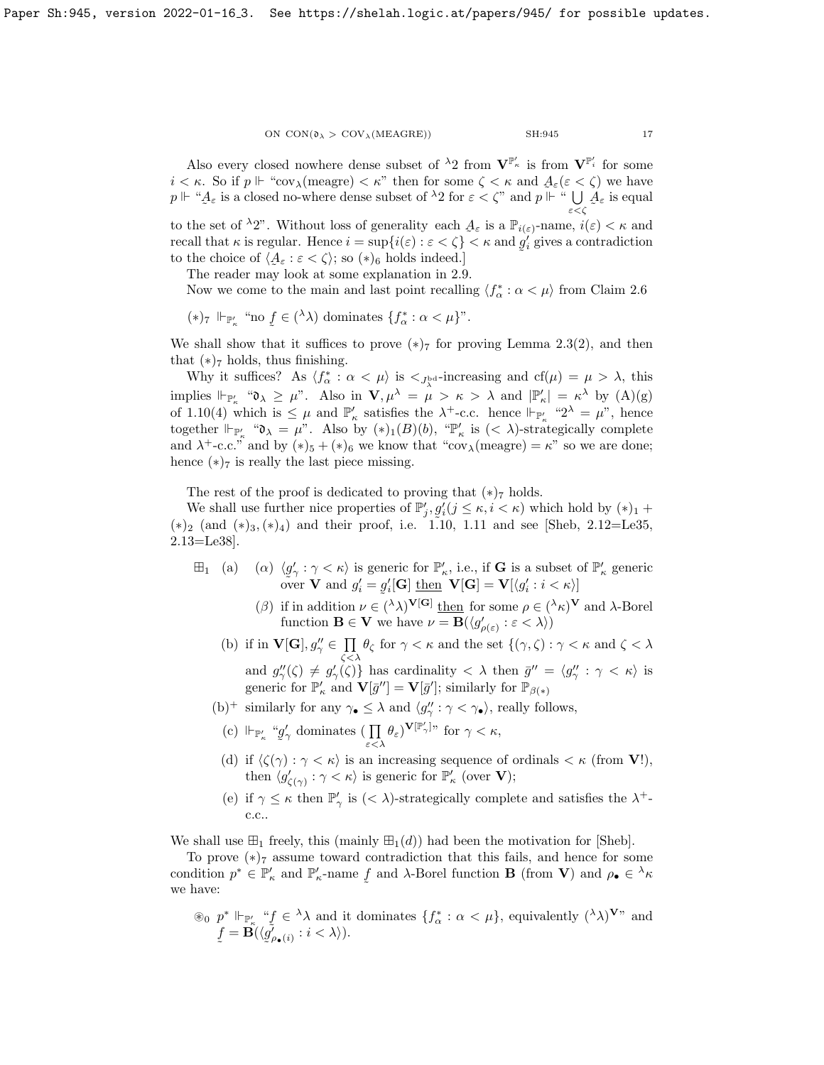Also every closed nowhere dense subset of  $\lambda_2$  from  $V^{\mathbb{P}'_{\kappa}}$  is from  $V^{\mathbb{P}'_i}$  for some  $i < \kappa$ . So if  $p \Vdash ``cov_\lambda$ (meagre)  $\lt \kappa$ " then for some  $\zeta < \kappa$  and  $A_\varepsilon(\varepsilon < \zeta)$  we have  $p \Vdash \text{``} A_{\varepsilon}$  is a closed no-where dense subset of  $\lambda_2$  for  $\varepsilon < \zeta$ " and  $p \Vdash \text{``} \bigcup_{\varepsilon < \zeta}$ ε<ζ  $A_{\varepsilon}$  is equal

to the set of  $\lambda_2$ ". Without loss of generality each  $\mathcal{A}_{\varepsilon}$  is a  $\mathbb{P}_{i(\varepsilon)}$ -name,  $i(\varepsilon) < \kappa$  and recall that  $\kappa$  is regular. Hence  $i = \sup\{i(\varepsilon) : \varepsilon < \zeta\} < \kappa$  and  $g'_i$  gives a contradiction ˜ to the choice of  $\langle \mathcal{A}_{\varepsilon} : \varepsilon < \zeta \rangle$ ; so  $(*)_6$  holds indeed.]

The reader may look at some explanation in  $2.9$ .

Now we come to the main and last point recalling  $\langle f^*_{\alpha} : \alpha < \mu \rangle$  from Claim [2.6](#page-13-0)

$$
(*)_7 \Vdash_{\mathbb{P}'_{\kappa}} \text{``no } \underline{f} \in (\lambda) \text{ dominates } \{f^*_{\alpha} : \alpha < \mu\} \text{''}.
$$

We shall show that it suffices to prove  $(*)_7$  for proving Lemma [2.3\(](#page-10-0)2), and then that  $(*)_7$  holds, thus finishing.

Why it suffices? As  $\langle f^*_{\alpha} : \alpha < \mu \rangle$  is  $\langle f^*_{\beta} : \alpha < \mu \rangle$  increasing and  $cf(\mu) = \mu > \lambda$ , this implies  $\Vdash_{\mathbb{P}_\kappa'}$  " $\mathfrak{d}_\lambda \geq \mu$ ". Also in  $\mathbf{V}, \mu^\lambda = \mu > \kappa > \lambda$  and  $|\mathbb{P}_\kappa'| = \kappa^\lambda$  by  $(A)(g)$ of [1.10\(](#page-6-1)4) which is  $\leq \mu$  and  $\mathbb{P}'_{\kappa}$  satisfies the  $\lambda^{+}$ -c.c. hence  $\Vdash_{\mathbb{P}'_{\kappa}}$  " $2^{\lambda} = \mu$ ", hence together  $\Vdash_{\mathbb{P}'_{\kappa}}$  " $\mathfrak{d}_{\lambda} = \mu$ ". Also by  $(*)_1(B)(b)$ , " $\mathbb{P}'_{\kappa}$  is  $( $\lambda$ )-strategically complete$ and  $\lambda^+$ -c.c." and by  $(*)_5 + (*)_6$  we know that "cov<sub> $\lambda$ </sub>(meagre) =  $\kappa$ " so we are done; hence  $(*)$ <sup>7</sup> is really the last piece missing.

The rest of the proof is dedicated to proving that  $(*)_7$  holds.

We shall use further nice properties of  $\mathbb{P}'_j$ ,  $g'_i$  ( $j \leq \kappa, i \leq \kappa$ ) which hold by  $(*)_1$  +  $(*)_2$  (and  $(*)_3, (*)_4$ ) and their proof, i.e. [1.10,](#page-6-1) [1.11](#page-7-1) and see [\[Sheb,](#page-23-0) 2.12=Le35, 2.13=Le38].

- $\boxplus_1$  (a)  $(\alpha)$   $\langle g \rangle$ ≍<br>π  $\gamma' : \gamma < \kappa$  is generic for  $\mathbb{P}'_{\kappa}$ , i.e., if **G** is a subset of  $\mathbb{P}'_{\kappa}$  generic over **V** and  $g'_i = g'_i[\mathbf{G}]$  then **V**[**G**] = **V**[ $\langle g'_i : i < \kappa \rangle$ ]
	- (β) if in addition  $\nu \in (\lambda \lambda)^{V[G]}$  then for some  $\rho \in (\lambda \kappa)^{V}$  and  $\lambda$ -Borel function  $\mathbf{B} \in \mathbf{V}$  we have  $\nu = \mathbf{B}(\langle g'_{\rho(\varepsilon)} : \varepsilon \langle \lambda \rangle)$
	- (b) if in  $\mathbf{V}[\mathbf{G}], g''_{\gamma} \in \Pi$  $\prod_{\zeta<\lambda} \theta_{\zeta}$  for  $\gamma < \kappa$  and the set  $\{(\gamma,\zeta): \gamma < \kappa$  and  $\zeta < \lambda$ and  $g''_{\gamma}(\zeta) \neq g'_{\gamma}(\zeta)$  has cardinality  $\langle \lambda \rangle$  then  $\bar{g}'' = \langle g''_{\gamma} : \gamma \langle \kappa \rangle$  is generic for  $\mathbb{P}'_{\kappa}$  and  $\mathbf{V}[\bar{g}''] = \mathbf{V}[\bar{g}']$ ; similarly for  $\mathbb{P}_{\beta(\ast)}$
	- (b)<sup>+</sup> similarly for any  $\gamma_{\bullet} \leq \lambda$  and  $\langle g''_{\gamma} : \gamma < \gamma_{\bullet} \rangle$ , really follows,
	- (c)  $\Vdash_{\mathbb{P}'_{\kappa}}$  "g ˜  $\int_{\gamma}$  dominates  $\left(\prod_{\varepsilon<\lambda}\theta_{\varepsilon}\right)^{\mathbf{V}[\mathbb{P}'_{\gamma}]_{\gamma}}$  for  $\gamma<\kappa$ ,
	- (d) if  $\langle \zeta(\gamma) : \gamma < \kappa \rangle$  is an increasing sequence of ordinals  $\langle \kappa \rangle$  (from **V**!), then  $\langle g'_{\zeta(\gamma)} : \gamma < \kappa \rangle$  is generic for  $\mathbb{P}'_{\kappa}$  (over **V**);
	- (e) if  $\gamma \leq \kappa$  then  $\mathbb{P}'_{\gamma}$  is  $( $\lambda$ )-strategically complete and satisfies the  $\lambda^{+}$$ c.c..

We shall use  $\mathbb{H}_1$  freely, this (mainly  $\mathbb{H}_1(d)$ ) had been the motivation for [\[Sheb\]](#page-23-0).

To prove  $(*)$ 7 assume toward contradiction that this fails, and hence for some condition  $p^* \in \mathbb{P}'_\kappa$  and  $\mathbb{P}'_\kappa$ -name  $f$  and  $\lambda$ -Borel function **B** (from **V**) and  $\rho_{\bullet} \in {}^{\lambda} \kappa$  $\tilde{\phantom{a}}$ we have:

 $\circledast_0$   $p^*$   $\Vdash_{\mathbb{P}'_{\kappa}}$  "*t*  $\tilde{\vec{r}}$  $\in \lambda \lambda$  and it dominates  $\{f^*_\alpha : \alpha < \mu\}$ , equivalently  $(\lambda \lambda)^{\mathbf{V}^n}$  and f ˜  $={\bf B}(\langle g$ ˜  $\check{\rho}_{\bullet}(i): i < \lambda \rangle).$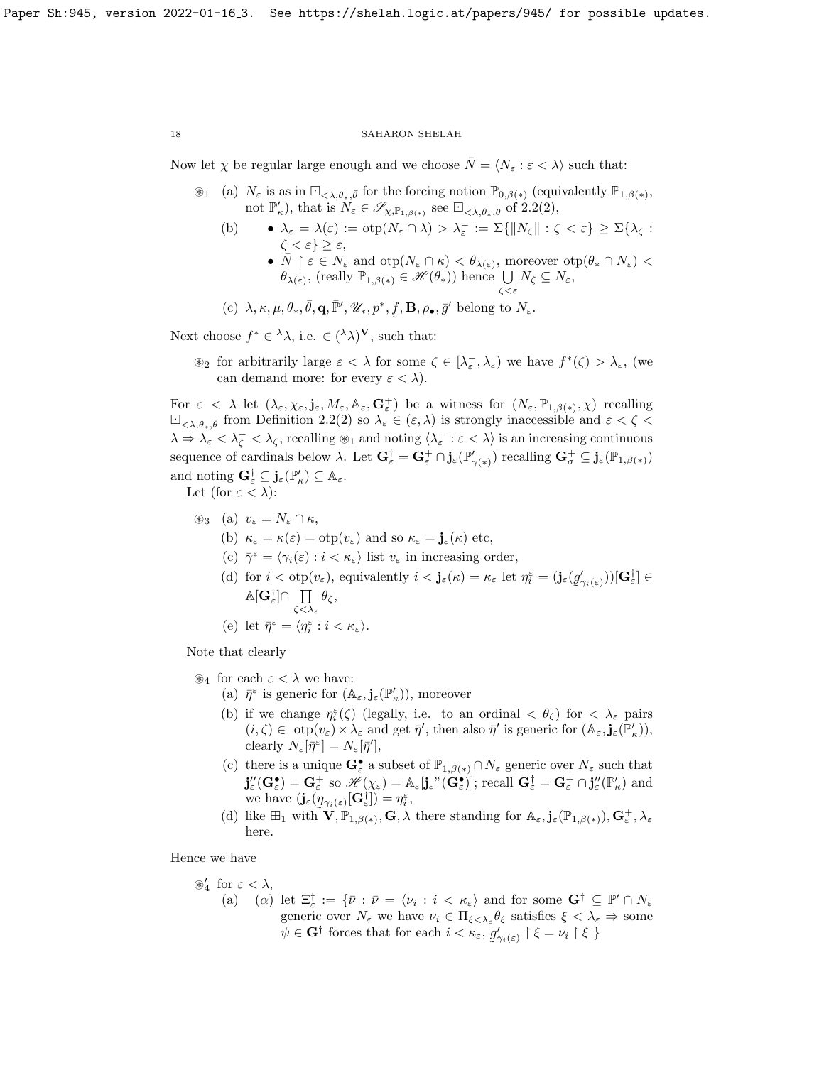Now let  $\chi$  be regular large enough and we choose  $\overline{N} = \langle N_{\varepsilon} : \varepsilon < \lambda \rangle$  such that:

- $\mathscr{F}_1$  (a)  $N_{\varepsilon}$  is as in  $\Box_{\langle \lambda,\theta_*,\bar{\theta}\rangle}$  for the forcing notion  $\mathbb{P}_{0,\beta(*)}$  (equivalently  $\mathbb{P}_{1,\beta(*)}$ , <u>not</u>  $\mathbb{P}'_{\kappa}$ ), that is  $N_{\varepsilon} \in \mathscr{S}_{\chi,\mathbb{P}_{1,\beta(*)}}$  see  $\square_{\langle\lambda,\theta_*,\bar{\theta}\rangle}$  of [2.2\(](#page-9-0)2),
	- (b)  $\lambda_{\varepsilon} = \lambda(\varepsilon) := \mathrm{otp}(N_{\varepsilon} \cap \lambda) > \lambda_{\varepsilon}^- := \Sigma \{ ||N_{\zeta}|| : \zeta < \varepsilon \} \geq \Sigma \{ \lambda_{\zeta} :$  $\zeta < \varepsilon$ }  $\geq \varepsilon$ , •  $\overline{N} \restriction \varepsilon \in N_{\varepsilon}$  and  $\text{otp}(N_{\varepsilon} \cap \kappa) < \theta_{\lambda(\varepsilon)}$ , moreover  $\text{otp}(\theta_{*} \cap N_{\varepsilon})$  $\theta_{\lambda(\varepsilon)}$ , (really  $\mathbb{P}_{1,\beta(*)} \in \mathscr{H}(\theta_*)$ ) hence  $\bigcup_{\zeta \leq \varepsilon} N_{\zeta} \subseteq N_{\varepsilon}$ ,
	- (c)  $\lambda, \kappa, \mu, \theta_*, \overline{\theta}, \mathbf{q}, \overline{\mathbb{P}}', \mathscr{U}_*, p^*, f, \mathbf{B}, \rho_{\bullet}, \overline{g}'$  belong to  $N_{\varepsilon}$ . ˜

Next choose  $f^* \in {}^{\lambda} \lambda$ , i.e.  $\in ({}^{\lambda} \lambda)^{\mathbf{V}}$ , such that:

 $\mathcal{L}_2$  for arbitrarily large  $\varepsilon < \lambda$  for some  $\zeta \in [\lambda_\varepsilon^-, \lambda_\varepsilon)$  we have  $f^*(\zeta) > \lambda_\varepsilon$ , (we can demand more: for every  $\varepsilon < \lambda$ ).

For  $\varepsilon < \lambda$  let  $(\lambda_{\varepsilon}, \chi_{\varepsilon}, \mathbf{j}_{\varepsilon}, M_{\varepsilon}, \mathbb{A}_{\varepsilon}, \mathbf{G}_{\varepsilon}^{+})$  be a witness for  $(N_{\varepsilon}, \mathbb{P}_{1,\beta(*)}, \chi)$  recalling  $\Box_{\langle\lambda,\theta_*,\bar{\theta}\rangle}$  from Definition [2.2\(](#page-9-0)2) so  $\lambda_{\varepsilon}\in(\varepsilon,\lambda)$  is strongly inaccessible and  $\varepsilon<\zeta<\lambda$  $\lambda \Rightarrow \lambda_{\varepsilon} < \lambda_{\zeta}$ , recalling  $\circledast_1$  and noting  $\langle \lambda_{\varepsilon}^- : \varepsilon < \lambda \rangle$  is an increasing continuous sequence of cardinals below  $\lambda$ . Let  $\mathbf{G}_{\varepsilon}^{\dagger} = \mathbf{G}_{\varepsilon}^+ \cap \mathbf{j}_{\varepsilon}(\mathbb{P}_{\gamma(*)})$  recalling  $\mathbf{G}_{\sigma}^+ \subseteq \mathbf{j}_{\varepsilon}(\mathbb{P}_{1,\beta(*)})$ and noting  $\mathbf{G}_{\varepsilon}^{\dagger} \subseteq \mathbf{j}_{\varepsilon}(\mathbb{P}_{\kappa}') \subseteq \mathbb{A}_{\varepsilon}$ .

Let (for  $\varepsilon < \lambda$ ):

- $\circledast_3$  (a)  $v_\varepsilon = N_\varepsilon \cap \kappa$ ,
	- (b)  $\kappa_{\varepsilon} = \kappa(\varepsilon) = \text{otp}(v_{\varepsilon})$  and so  $\kappa_{\varepsilon} = \mathbf{j}_{\varepsilon}(\kappa)$  etc,
	- (c)  $\bar{\gamma}^{\varepsilon} = \langle \gamma_i(\varepsilon) : i < \kappa_{\varepsilon} \rangle$  list  $v_{\varepsilon}$  in increasing order,
	- (d) for  $i < \text{otp}(v_{\varepsilon})$ , equivalently  $i < \mathbf{j}_{\varepsilon}(\kappa) = \kappa_{\varepsilon}$  let  $\eta_i^{\varepsilon} = (\mathbf{j}_{\varepsilon}(g_{\varepsilon}))$  $(\gamma_{i(\varepsilon)}))[\mathbf{G}_{\varepsilon}^{\dagger}]\in$  $\mathbb{A}[\mathbf{G}^\dagger_{\varepsilon}]\cap \ \prod$  $\zeta \! < \! \lambda_{\varepsilon}$  $\theta_{\zeta},$
	- (e) let  $\bar{\eta}^{\varepsilon} = \langle \eta^{\varepsilon}_i : i < \kappa_{\varepsilon} \rangle$ .

Note that clearly

 $\mathscr{L}_4$  for each  $\varepsilon < \lambda$  we have:

- (a)  $\bar{\eta}^{\varepsilon}$  is generic for  $(\mathbb{A}_{\varepsilon}, \mathbf{j}_{\varepsilon}(\mathbb{P}'_{\kappa}))$ , moreover
- (b) if we change  $\eta_i^{\varepsilon}(\zeta)$  (legally, i.e. to an ordinal  $\langle \theta_{\zeta} \rangle$  for  $\langle \lambda_{\varepsilon} \rangle$  pairs  $(i, \zeta) \in \text{otp}(v_{\varepsilon}) \times \lambda_{\varepsilon} \text{ and get } \bar{\eta}', \text{ then also } \bar{\eta}' \text{ is generic for } (\mathbb{A}_{\varepsilon}, \mathbf{j}_{\varepsilon}(\mathbb{P}'_{\kappa})),$ clearly  $N_{\varepsilon}[\bar{\eta}^{\varepsilon}] = N_{\varepsilon}[\bar{\eta}'],$
- (c) there is a unique  $\mathbf{G}_{\varepsilon}^{\bullet}$  a subset of  $\mathbb{P}_{1,\beta(*)} \cap N_{\varepsilon}$  generic over  $N_{\varepsilon}$  such that  $\mathbf{j}_{\varepsilon}''(\mathbf{G}_{\varepsilon}^{\bullet}) = \mathbf{G}_{\varepsilon}^+$  so  $\mathscr{H}(\chi_{\varepsilon}) = \mathbb{A}_{\varepsilon}[\mathbf{j}_{\varepsilon}''(\mathbf{\hat{G}}_{\varepsilon}^{\bullet})];$  recall  $\mathbf{G}_{\varepsilon}^{\dagger} = \mathbf{G}_{\varepsilon}^+ \cap \mathbf{j}_{\varepsilon}''(\mathbb{P}_{\kappa}')$  and we have  $(j_{\varepsilon}(\eta_{\gamma_i(\varepsilon)}[{\bf G}^{\dagger}_{\varepsilon}]) = \eta_i^{\varepsilon},$
- (d) like  $\mathbb{H}_1$  with  $\mathbf{V}, \mathbb{P}_{1,\beta(*)}$ ,  $\mathbf{G}, \lambda$  there standing for  $\mathbb{A}_{\varepsilon}, \mathbf{j}_{\varepsilon}(\mathbb{P}_{1,\beta(*)}), \mathbf{G}_{\varepsilon}^+, \lambda_{\varepsilon}$ here.

Hence we have

- $\otimes_4'$  for  $\varepsilon < \lambda$ ,
	- (a) (a) let  $\Xi_{\varepsilon}^{\dagger} := \{ \bar{\nu} : \bar{\nu} = \langle \nu_i : i \langle \kappa_{\varepsilon} \rangle \text{ and for some } G^{\dagger} \subseteq \mathbb{P}' \cap N_{\varepsilon} \}$ generic over  $N_{\varepsilon}$  we have  $\nu_i \in \Pi_{\xi < \lambda_{\varepsilon}} \theta_{\xi}$  satisfies  $\xi < \lambda_{\varepsilon} \Rightarrow$  some  $\psi \in \mathbf{G}^{\dagger}$  forces that for each  $i < \kappa_{\varepsilon}, g$ ˜  $\big\{ \big\}_{\gamma_i(\varepsilon)}^{\overline{\prime}} \restriction \xi = \nu_i \restriction \xi \; \}$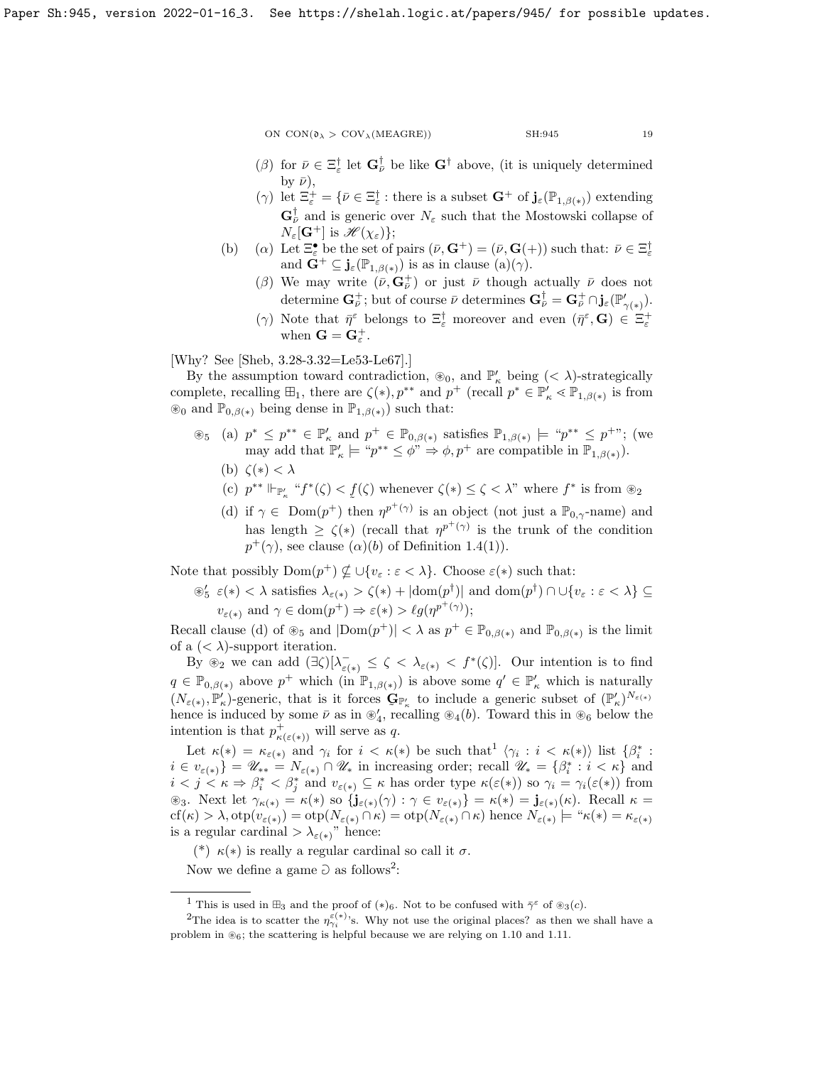- ( $\beta$ ) for  $\bar{\nu} \in \Xi_{\varepsilon}^{\dagger}$  let  $\mathbf{G}_{\bar{\nu}}^{\dagger}$  be like  $\mathbf{G}^{\dagger}$  above, (it is uniquely determined by  $\bar{\nu}$ ),
- ( $\gamma$ ) let  $\Xi_{\varepsilon}^{+} = \{ \bar{\nu} \in \Xi_{\varepsilon}^{\dagger} : \text{there is a subset } \mathbf{G}^{+} \text{ of } \mathbf{j}_{\varepsilon}(\mathbb{P}_{1,\beta(\ast)}) \text{ extending }$  $\mathbf{G}_{\bar{\nu}}^{\dagger}$  and is generic over  $N_{\varepsilon}$  such that the Mostowski collapse of  $N_{\varepsilon}[\mathbf{G}^+]$  is  $\mathscr{H}(\chi_{\varepsilon})\};$
- (b) (a) Let  $\Xi_{\varepsilon}^{\bullet}$  be the set of pairs  $(\bar{\nu}, \mathbf{G}^+) = (\bar{\nu}, \mathbf{G}(+) )$  such that:  $\bar{\nu} \in \Xi_{\varepsilon}^{\dagger}$ and  $\mathbf{G}^+ \subseteq \mathbf{j}_{\varepsilon}(\mathbb{P}_{1,\beta(*)})$  is as in clause  $(a)(\gamma)$ .
	- (β) We may write  $(\bar{\nu}, \mathbf{G}_{\bar{\nu}}^+)$  or just  $\bar{\nu}$  though actually  $\bar{\nu}$  does not determine  $\mathbf{G}_{\bar{\nu}}^{+}$ ; but of course  $\bar{\nu}$  determines  $\mathbf{G}_{\bar{\nu}}^{\dagger} = \mathbf{G}_{\bar{\nu}}^{+} \cap \mathbf{j}_{\varepsilon}(\mathbb{P}_{\gamma(*)}'.$
	- ( $\gamma$ ) Note that  $\bar{\eta}^{\epsilon}$  belongs to  $\Xi_{\varepsilon}^{\dagger}$  moreover and even  $(\bar{\eta}^{\epsilon}, \mathbf{G}) \in \Xi_{\varepsilon}^{\dagger}$ when  $\mathbf{G} = \mathbf{G}_{\varepsilon}^{+}$ .

[Why? See [\[Sheb,](#page-23-0) 3.28-3.32=Le53-Le67].]

By the assumption toward contradiction,  $\mathcal{L}_0$ , and  $\mathbb{P}'_\kappa$  being  $( $\lambda$ )-strategically$ complete, recalling  $\boxplus_1$ , there are  $\zeta(*)$ ,  $p^{**}$  and  $p^+$  (recall  $p^* \in \mathbb{P}_\kappa' \leq \mathbb{P}_{1,\beta(*)}$  is from  $\circledast_0$  and  $\mathbb{P}_{0,\beta(*)}$  being dense in  $\mathbb{P}_{1,\beta(*)}$  such that:

- $\mathcal{L}_5$  (a)  $p^* \leq p^{**} \in \mathbb{P}'_\kappa$  and  $p^+ \in \mathbb{P}_{0,\beta(*)}$  satisfies  $\mathbb{P}_{1,\beta(*)} \models \text{``} p^{**} \leq p^{+}$ "; (we may add that  $\mathbb{P}'_{\kappa} \models "p^{**} \leq \phi" \Rightarrow \phi, p^+$  are compatible in  $\mathbb{P}_{1,\beta(*)}$ .
	- (b)  $\zeta(*) < \lambda$
	- (c)  $p^{**} \Vdash_{\mathbb{P}'_{\kappa}}$  " $f^*(\zeta) < f(\zeta)$  whenever  $\zeta(*) \leq \zeta < \lambda$ " where  $f^*$  is from  $\otimes_2$
	- (d) if  $\gamma \in \text{Dom}(p^+)$  then  $\eta^{p^+(\gamma)}$  is an object (not just a  $\mathbb{P}_{0,\gamma}$ -name) and has length  $\geq \zeta(*)$  (recall that  $\eta^{p^+(\gamma)}$  is the trunk of the condition  $p^+(\gamma)$ , see clause  $(\alpha)(b)$  of Definition [1.4\(](#page-4-0)1)).

Note that possibly  $\text{Dom}(p^+) \nsubseteq \bigcup \{v_{\varepsilon} : \varepsilon < \lambda\}.$  Choose  $\varepsilon(*)$  such that:

 $\mathcal{L}_{5} \varepsilon(*) < \lambda$  satisfies  $\lambda_{\varepsilon(*)} > \zeta(*) + |\text{dom}(p^{\dagger})|$  and  $\text{dom}(p^{\dagger}) \cap \cup \{v_{\varepsilon} : \varepsilon < \lambda\} \subseteq$  $v_{\varepsilon(*)}$  and  $\gamma \in \text{dom}(p^+) \Rightarrow \varepsilon(*) > \ell g(p^{p^+(\gamma)});$ 

Recall clause (d) of  $\mathfrak{G}_5$  and  $|{\rm Dom}(p^+)| < \lambda$  as  $p^+ \in \mathbb{P}_{0,\beta(*)}$  and  $\mathbb{P}_{0,\beta(*)}$  is the limit of a  $( $\lambda$ )-support iteration.$ 

By  $\mathfrak{B}_2$  we can add  $(\exists \zeta)[\lambda^-_{\varepsilon(*)} \leq \zeta < \lambda_{\varepsilon(*)} < f^*(\zeta)].$  Our intention is to find  $q \in \mathbb{P}_{0,\beta(*)}$  above  $p^+$  which  $(\text{in } \mathbb{P}_{1,\beta(*)})$  is above some  $q' \in \mathbb{P}'_{\kappa}$  which is naturally  $(N_{\varepsilon(*)}, \mathbb{P}'_{\kappa})$ -generic, that is it forces  $\mathbf{G}_{\mathbb{P}'_{\kappa}}$  to include a generic subset of  $(\mathbb{P}'_{\kappa})^{N_{\varepsilon(*)}}$ hence is induced by some  $\bar{\nu}$  as in  $\mathscr{L}_4$ , recalling  $\mathscr{D}_4(b)$ . Toward this in  $\mathscr{D}_6$  below the intention is that  $p_{\kappa(\varepsilon(*))}^+$  will serve as q.

Let  $\kappa(*) = \kappa_{\varepsilon(*)}$  and  $\gamma_i$  for  $i < \kappa(*)$  be such that  $\langle \gamma_i : i < \kappa(*) \rangle$  list  $\{\beta_i^* : i < \kappa(*)\}$  $i \in v_{\varepsilon(*)}\} = \mathscr{U}_{**} = N_{\varepsilon(*)} \cap \mathscr{U}_*$  in increasing order; recall  $\mathscr{U}_* = \{\beta_i^* : i < \kappa\}$  and  $i < j < \kappa \Rightarrow \beta_i^* < \beta_j^*$  and  $v_{\varepsilon(*)} \subseteq \kappa$  has order type  $\kappa(\varepsilon(*))$  so  $\gamma_i = \gamma_i(\varepsilon(*))$  from  $\mathcal{L}_3$ . Next let  $\gamma_{\kappa(*)} = \kappa(*)$  so  $\{\mathbf{j}_{\varepsilon(*)}(\gamma) : \gamma \in v_{\varepsilon(*)}\} = \kappa(*) = \mathbf{j}_{\varepsilon(*)}(\kappa)$ . Recall  $\kappa =$  $cf(\kappa) > \lambda, \text{otp}(v_{\varepsilon(*)}) = \text{otp}(N_{\varepsilon(*)} \cap \kappa) = \text{otp}(N_{\varepsilon(*)} \cap \kappa)$  hence  $N_{\varepsilon(*)} \models ``\kappa(*) = \kappa_{\varepsilon(*)}$ is a regular cardinal  $>\lambda_{\varepsilon(*)}$ " hence:

(\*)  $\kappa(*)$  is really a regular cardinal so call it  $\sigma$ .

Now we define a game  $\Game$  as follows<sup>[2](#page-18-1)</sup>:

<span id="page-18-1"></span><span id="page-18-0"></span><sup>&</sup>lt;sup>1</sup> This is used in  $\mathbb{H}_3$  and the proof of  $(*)_6$ . Not to be confused with  $\bar{\gamma}^{\varepsilon}$  of  $\mathscr{D}_3(c)$ .

<sup>&</sup>lt;sup>2</sup>The idea is to scatter the  $\eta_{\gamma_i}^{\epsilon(*)}$ 's. Why not use the original places? as then we shall have a problem in  $\mathcal{E}_6$ ; the scattering is helpful because we are relying on [1.10](#page-6-1) and [1.11.](#page-7-1)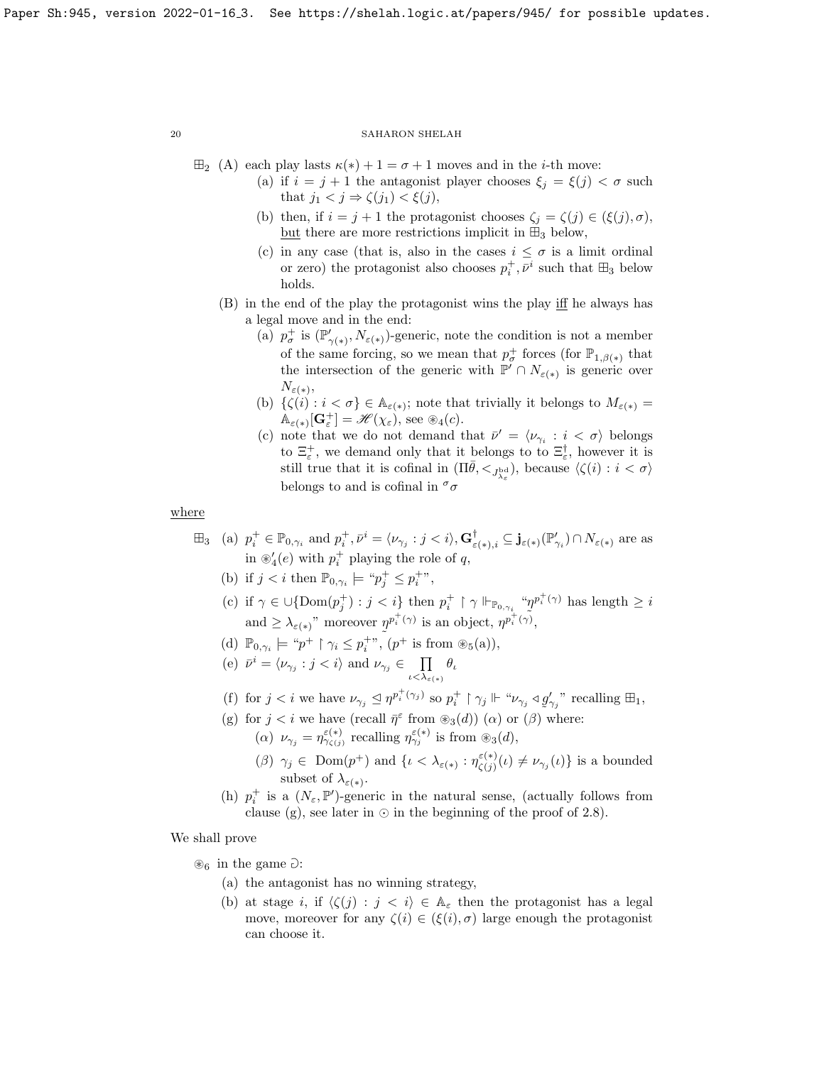$\boxplus_2$  (A) each play lasts  $\kappa(*) + 1 = \sigma + 1$  moves and in the *i*-th move:

- (a) if  $i = j + 1$  the antagonist player chooses  $\xi_j = \xi(j) < \sigma$  such that  $j_1 < j \Rightarrow \zeta(j_1) < \xi(j)$ ,
- (b) then, if  $i = j + 1$  the protagonist chooses  $\zeta_j = \zeta(j) \in (\xi(j), \sigma)$ , but there are more restrictions implicit in  $\mathbb{H}_3$  below,
- (c) in any case (that is, also in the cases  $i \leq \sigma$  is a limit ordinal or zero) the protagonist also chooses  $p_i^+, \bar{\nu}^i$  such that  $\boxplus_3$  below holds.
- (B) in the end of the play the protagonist wins the play iff he always has a legal move and in the end:
	- (a)  $p_{\sigma}^+$  is  $(\mathbb{P}'_{\gamma(*)}, N_{\varepsilon(*)})$ -generic, note the condition is not a member of the same forcing, so we mean that  $p_{\sigma}^+$  forces (for  $\mathbb{P}_{1,\beta(*)}$  that the intersection of the generic with  $\mathbb{P}' \cap N_{\varepsilon(*)}$  is generic over  $N_{\varepsilon(*)}$
	- (b)  $\{\zeta(i): i < \sigma\} \in \mathbb{A}_{\varepsilon(*)}$ ; note that trivially it belongs to  $M_{\varepsilon(*)} =$  $\mathbb{A}_{\varepsilon(*)}[\mathbf{G}_{\varepsilon}^+] = \mathscr{H}(\chi_{\varepsilon})$ , see  $\mathscr{B}_4(c)$ .
	- (c) note that we do not demand that  $\bar{\nu}' = \langle \nu_{\gamma_i} : i \langle \sigma \rangle$  belongs to  $\Xi_{\varepsilon}^{+}$ , we demand only that it belongs to to  $\Xi_{\varepsilon}^{\dagger}$ , however it is still true that it is cofinal in  $(\Pi \bar{\theta}, \langle \zeta_{\lambda_{\varepsilon}})$ , because  $\langle \zeta(i) : i \langle \sigma \rangle$ belongs to and is cofinal in  $\sigma$

where

- $\boxplus_3$  (a)  $p_i^+ \in \mathbb{P}_{0,\gamma_i}$  and  $p_i^+, \bar{\nu}^i = \langle \nu_{\gamma_j} : j < i \rangle, \mathbf{G}^\dagger_{\varepsilon(*),i} \subseteq \mathbf{j}_{\varepsilon(*)}(\mathbb{P}'_{\gamma_i}) \cap N_{\varepsilon(*)}$  are as in  $\mathscr{B}'_4(e)$  with  $p_i^+$  playing the role of q,
	- (b) if  $j < i$  then  $\mathbb{P}_{0,\gamma_i} \models \text{``} p_j^+ \leq p_i^+$ ",
	- (c) if  $\gamma \in \cup{\text{Dom}(p_j^+): j < i}$  then  $p_i^+ \restriction \gamma \Vdash_{\mathbb{P}_{0,\gamma_i}} \text{``$p$^{p_i^+(\gamma)}$ has length $\geq i$}$ and  $\geq \lambda_{\varepsilon(*)}$ " moreover  $\eta^{p_i^+(\gamma)}$  is an object,  $\eta^{p_i^+(\gamma)}$ ,
	- (d)  $\mathbb{P}_{0,\gamma_i} \models \text{``} p^+ \upharpoonright \gamma_i \leq p_i^{+}$ ",  $(p^+ \text{ is from } \circledast_5(\text{a})),$ i
	- (e)  $\bar{\nu}^i = \langle \nu_{\gamma_j} : j < i \rangle$  and  $\nu_{\gamma_j} \in \prod$  $\iota<\lambda_{\varepsilon(*)}$  $\theta_{\iota}$
	- (f) for  $j < i$  we have  $\nu_{\gamma_j} \trianglelefteq \eta^{p_i^+(\gamma_j)}$  so  $p_i^+ \upharpoonright \gamma_j \Vdash \text{``}\nu_{\gamma_j} \triangleleft g'_{\gamma_j}$ " recalling  $\boxplus_1$ ,
	- (g) for  $j < i$  we have (recall  $\bar{\eta}^{\varepsilon}$  from  $\mathcal{B}_3(d)$ ) ( $\alpha$ ) or ( $\beta$ ) where:

(a)  $\nu_{\gamma_j} = \eta_{\gamma_{\zeta(j)}}^{\varepsilon(*)}$  recalling  $\eta_{\gamma_j}^{\varepsilon(*)}$  is from  $\otimes_3(d)$ ,

- $(\beta)$   $\gamma_j \in \text{Dom}(p^+)$  and  $\{ \iota < \lambda_{\varepsilon(*)} : \eta_{\zeta(i)}^{\varepsilon(*)} \}$  $\zeta_{(j)}^{(\varepsilon(*)}(\iota) \neq \nu_{\gamma_j}(\iota)$  is a bounded subset of  $\lambda_{\varepsilon(*)}$ .
- (h)  $p_i^+$  is a  $(N_\varepsilon, \mathbb{P}')$ -generic in the natural sense, (actually follows from clause (g), see later in  $\odot$  in the beginning of the proof of [2.8\)](#page-20-0).

## We shall prove

 $\otimes_6$  in the game  $\partial$ :

- (a) the antagonist has no winning strategy,
- (b) at stage i, if  $\langle \zeta(j) : j \langle i \rangle \in A_{\varepsilon}$  then the protagonist has a legal move, moreover for any  $\zeta(i) \in (\xi(i), \sigma)$  large enough the protagonist can choose it.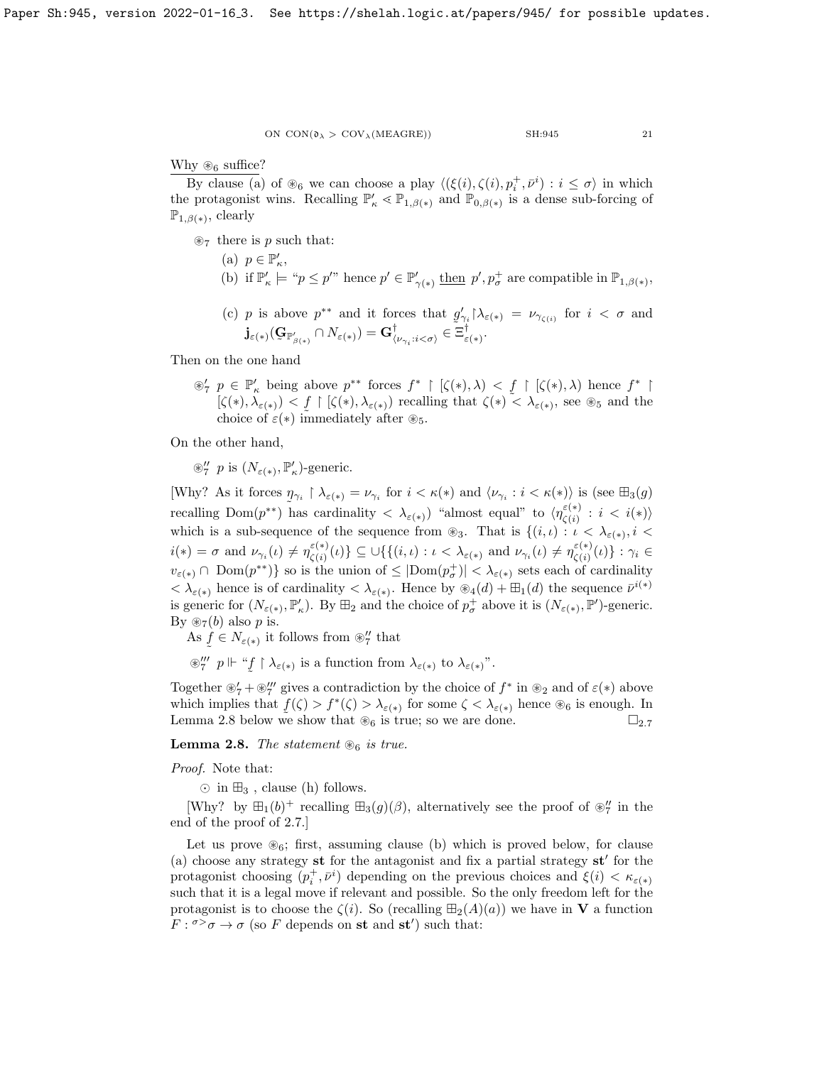Why  $\mathscr{D}_6$  suffice?

By clause (a) of  $\mathcal{L}_6$  we can choose a play  $\langle (\xi(i), \zeta(i), p_i^+, \bar{\nu}^i) : i \leq \sigma \rangle$  in which the protagonist wins. Recalling  $\mathbb{P}'_{\kappa} \leq \mathbb{P}_{1,\beta(*)}$  and  $\mathbb{P}_{0,\beta(*)}$  is a dense sub-forcing of  $\mathbb{P}_{1,\beta(*)}$ , clearly

 $\mathcal{R}_7$  there is p such that:

- (a)  $p \in \mathbb{P}_\kappa'$ , (b) if  $\mathbb{P}'_{\kappa} \models \text{``} p \leq p'$ " hence  $p' \in \mathbb{P}'_{\gamma(*)}$  then  $p', p^+_{\sigma}$  are compatible in  $\mathbb{P}_{1,\beta(*)}$ ,
- (c) p is above  $p^{**}$  and it forces that  $g'_{\gamma_i} \upharpoonright_{\lambda_{\varepsilon(*)}} = \nu_{\gamma_{\zeta(i)}}$  for  $i < \sigma$  and  $\mathbf{j}_{\varepsilon(*)}(\mathbf{G}_{\mathbb{P}^\prime_{\beta(*)}}\cap N_{\varepsilon(*)})=\mathbf{G}^\dagger_{\langle\nu_{\gamma_i}:i<\sigma\rangle}\in\mathbb{R}^3$  $^{\dagger}_{\langle \nu_{\gamma_i}: i<\sigma\rangle} \in \Xi_{\varepsilon}^{\dagger}$ ε(∗) .

Then on the one hand

 $\mathscr{D}'_7$   $p \in \mathbb{P}'_\kappa$  being above  $p^{**}$  forces  $f^*$  | [ $\zeta(*), \lambda$ ) <  $\underline{f}$  | [ $\zeta(*), \lambda$ ) hence  $f^*$  |  $[\zeta(*), \lambda_{\varepsilon(*)}) < f \upharpoonright [\zeta(*), \lambda_{\varepsilon(*)})$  recalling that  $\zeta(*) \sim \lambda_{\varepsilon(*)}$ , see  $\otimes_5$  and the choice of  $\varepsilon(*)$  immediately after  $\otimes_5$ .

On the other hand,

 $\otimes''_7$  p is  $(N_{\varepsilon(*)}, \mathbb{P}'_{\kappa})$ -generic.

[Why? As it forces  $\eta_{\gamma_i} \restriction \lambda_{\varepsilon(*)} = \nu_{\gamma_i}$  for  $i < \kappa(*)$  and  $\langle \nu_{\gamma_i} : i < \kappa(*) \rangle$  is (see  $\boxplus_3(g)$ ) recalling Dom $(p^{**})$  has cardinality  $\langle \lambda_{\varepsilon(*)}\rangle$  "almost equal" to  $\langle \eta_{\varepsilon(i)}^{\varepsilon(*)}\rangle$  $\zeta^{(\ast)}_{\zeta(i)}$  :  $i \, < \, i(\ast)\rangle$ which is a sub-sequence of the sequence from  $\otimes_3$ . That is  $\{(i,\iota): \iota < \lambda_{\varepsilon(*)}, i < \iota\}$  $i(*) = \sigma$  and  $\nu_{\gamma_i}(\iota) \neq \eta_{\zeta(i)}^{\varepsilon(*)}$  $\mathcal{L}(\xi^{(i)}_{\zeta(i)}(\iota))\subseteq \bigcup \{ (i,\iota):\iota < \lambda_{\varepsilon(*)} \text{ and } \nu_{\gamma_i}(\iota) \neq \eta_{\zeta(i)}^{\varepsilon(*)}\}$  $\{\zeta^{(*)}_{\zeta(i)}(\iota)\}: \gamma_i \in$  $v_{\varepsilon(*)} \cap \text{Dom}(p^{**})\}$  so is the union of  $\leq |\text{Dom}(p^+_{\sigma})| < \lambda_{\varepsilon(*)}$  sets each of cardinality  $<\lambda_{\varepsilon(*)}$  hence is of cardinality  $<\lambda_{\varepsilon(*)}$ . Hence by  $\mathcal{B}_4(d) + \mathcal{H}_1(d)$  the sequence  $\bar{\nu}^{i(*)}$ is generic for  $(N_{\varepsilon(*)}, \mathbb{P}'_{\kappa})$ . By  $\boxplus_2$  and the choice of  $p^+_{\sigma}$  above it is  $(N_{\varepsilon(*)}, \mathbb{P}')$ -generic. By  $\mathcal{D}_7(b)$  also p is.

As  $\hat{f} \in N_{\varepsilon(*)}$  it follows from  $\otimes''_7$  that

 $\mathscr{L}'$  p  $\Vdash$  "f  $\uparrow \lambda_{\varepsilon(*)}$  is a function from  $\lambda_{\varepsilon(*)}$  to  $\lambda_{\varepsilon(*)}$ ".

Together  $\mathscr{E}'_7 + \mathscr{E}''_7$  gives a contradiction by the choice of  $f^*$  in  $\mathscr{E}_2$  and of  $\varepsilon(*)$  above which implies that  $f(\zeta) > f^*(\zeta) > \lambda_{\varepsilon(*)}$  for some  $\zeta < \lambda_{\varepsilon(*)}$  hence  $\otimes_6$  is enough. In Lemma [2.8](#page-20-0) below we show that  $\mathcal{L}_6$  is true; so we are done.  $\square_{2.7}$  $\square_{2.7}$  $\square_{2.7}$ 

<span id="page-20-0"></span>**Lemma 2.8.** The statement  $\mathcal{R}_6$  is true.

Proof. Note that:

 $\odot$  in  $\boxplus_3$ , clause (h) follows.

[Why? by  $\boxplus_1(b)^+$  recalling  $\boxplus_3(g)(\beta)$ , alternatively see the proof of  $\mathcal{D}_7'$  in the end of the proof of [2.7.](#page-14-0)]

Let us prove  $\mathcal{B}_6$ ; first, assuming clause (b) which is proved below, for clause (a) choose any strategy  $st$  for the antagonist and fix a partial strategy  $st'$  for the protagonist choosing  $(p_i^+, \bar{\nu}^i)$  depending on the previous choices and  $\xi(i) < \kappa_{\varepsilon(*)}$ such that it is a legal move if relevant and possible. So the only freedom left for the protagonist is to choose the  $\zeta(i)$ . So (recalling  $\mathbb{H}_2(A)(a)$ ) we have in **V** a function  $F: \sigma > \sigma \to \sigma$  (so F depends on st and st') such that: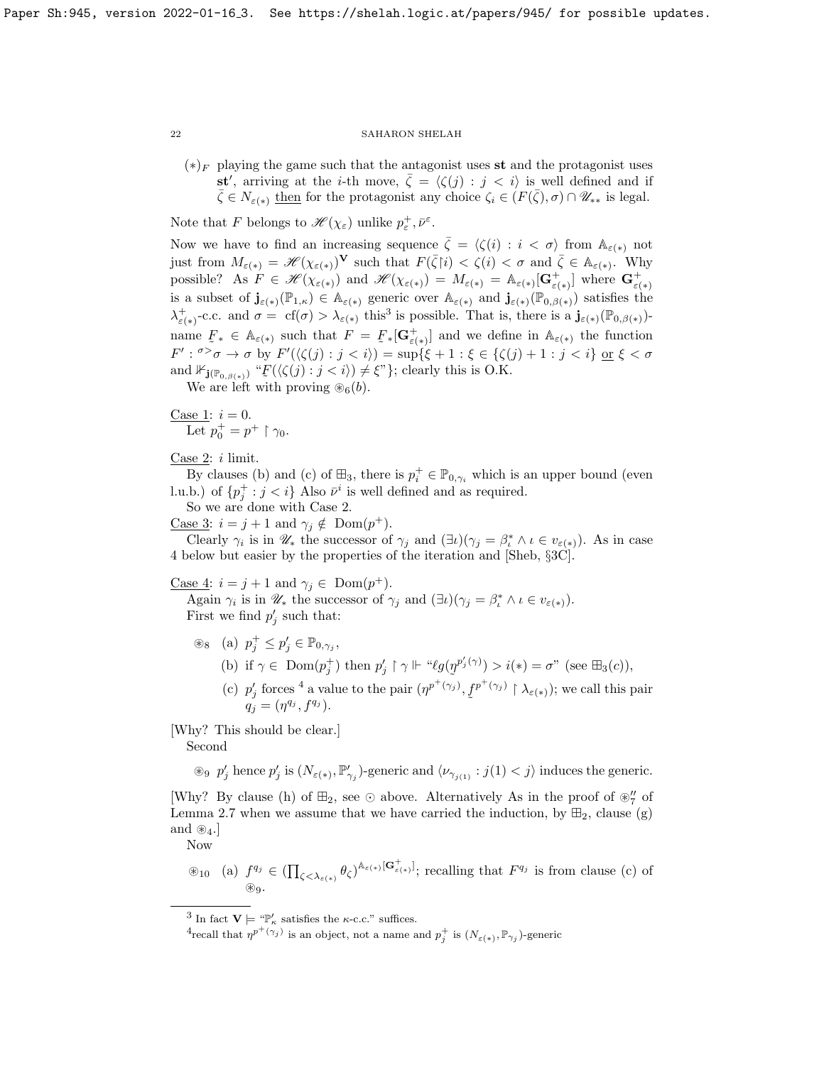$(*)<sub>F</sub>$  playing the game such that the antagonist uses st and the protagonist uses st', arriving at the *i*-th move,  $\bar{\zeta} = \langle \zeta(j) : j \langle i \rangle \rangle$  is well defined and if  $\overline{\zeta} \in N_{\varepsilon(*)}$  then for the protagonist any choice  $\zeta_i \in (F(\overline{\zeta}), \sigma) \cap \mathscr{U}_{**}$  is legal.

Note that F belongs to  $\mathscr{H}(\chi_{\varepsilon})$  unlike  $p_{\varepsilon}^{+}, \bar{\nu}^{\varepsilon}$ .

Now we have to find an increasing sequence  $\bar{\zeta} = \langle \zeta(i) : i \langle \sigma \rangle$  from  $\mathbb{A}_{\varepsilon(*)}$  not just from  $M_{\varepsilon(*)} = \mathscr{H}(\chi_{\varepsilon(*)})^{\mathbf{V}}$  such that  $F(\bar{\zeta}[i)] < \zeta(i) < \sigma$  and  $\bar{\zeta} \in \mathbb{A}_{\varepsilon(*)}$ . Why possible? As  $F \in \mathscr{H}(\chi_{\varepsilon(*)})$  and  $\mathscr{H}(\chi_{\varepsilon(*)}) = M_{\varepsilon(*)} = \mathbb{A}_{\varepsilon(*)}[\mathbf{G}_{\varepsilon(*)}^+]$  where  $\mathbf{G}_{\varepsilon(*)}^+$ is a subset of  $\mathbf{j}_{\varepsilon(*)}(\mathbb{P}_{1,\kappa}) \in A_{\varepsilon(*)}$  generic over  $A_{\varepsilon(*)}$  and  $\mathbf{j}_{\varepsilon(*)}(\mathbb{P}_{0,\beta(*)})$  satisfies the  $\lambda_{\varepsilon(*)}^+$ -c.c. and  $\sigma = \text{cf}(\sigma) > \lambda_{\varepsilon(*)}$  this<sup>[3](#page-21-0)</sup> is possible. That is, there is a  $\mathbf{j}_{\varepsilon(*)}(\mathbb{P}_{0,\beta(*)})$ name  $F_* \in \mathbb{A}_{\varepsilon(*)}$  such that  $F = F_*[\mathbf{G}^+_{\varepsilon(*)}]$  and we define in  $\mathbb{A}_{\varepsilon(*)}$  the function  $F': \sigma > \sigma \to \sigma$  by  $F'(\langle \zeta(j) : j < i \rangle) = \sup \{\xi + 1 : \xi \in \{\zeta(j) + 1 : j < i\} \text{ or } \xi < \sigma$ and  $\mathbb{F}_{\mathbf{j}(\mathbb{P}_{0,\beta(*)})}$  " $\mathcal{F}(\langle \zeta(j) : j < i \rangle) \neq \xi$ "}; clearly this is O.K.

We are left with proving  $\mathcal{B}_6(b)$ .

Case 1:  $i = 0$ . Let  $p_0^+ = p^+ \upharpoonright \gamma_0$ .

Case 2:  $i$  limit.

By clauses (b) and (c) of  $\mathbb{H}_3$ , there is  $p_i^+ \in \mathbb{P}_{0,\gamma_i}$  which is an upper bound (even l.u.b.) of  $\{p_j^+ : j < i\}$  Also  $\bar{\nu}^i$  is well defined and as required.

So we are done with Case 2.

<u>Case 3</u>:  $i = j + 1$  and  $\gamma_j \notin \text{Dom}(p^+).$ 

Clearly  $\gamma_i$  is in  $\mathscr{U}_*$  the successor of  $\gamma_j$  and  $(\exists \iota)(\gamma_j = \beta_i^* \land \iota \in v_{\varepsilon(*)})$ . As in case 4 below but easier by the properties of the iteration and [\[Sheb,](#page-23-0) §3C].

<u>Case 4</u>:  $i = j + 1$  and  $\gamma_j \in \text{Dom}(p^+).$ 

Again  $\gamma_i$  is in  $\mathscr{U}_*$  the successor of  $\gamma_j$  and  $(\exists \iota)(\gamma_j = \beta_i^* \land \iota \in v_{\varepsilon(*)})$ . First we find  $p'_j$  such that:

- $\circledast_8$  (a)  $p_j^+ \leq p_j' \in \mathbb{P}_{0, \gamma_j}$ ,
	- (b) if  $\gamma \in \text{Dom}(p_j^+)$  then  $p'_j \upharpoonright \gamma \Vdash \text{``}\ell g(p^{p'_j(\gamma)}) > i(*) = \sigma$ " (see  $\boxplus_3(c)$ ),
	- (c)  $p'_j$  forces <sup>[4](#page-21-1)</sup> a value to the pair  $(\eta^{p^+(\gamma_j)}, f^{p^+(\gamma_j)} \restriction \lambda_{\varepsilon(*)})$ ; we call this pair ˜  $q_j = (\eta^{q_j}, f^{q_j}).$

[Why? This should be clear.]

Second

 $\otimes$   $p'_j$  hence  $p'_j$  is  $(N_{\varepsilon(*)}, \mathbb{P}'_{\gamma_j})$ -generic and  $\langle \nu_{\gamma_{j(1)}} : j(1) < j \rangle$  induces the generic.

[Why? By clause (h) of  $\mathbb{H}_2$ , see  $\odot$  above. Alternatively As in the proof of  $\mathscr{C}_7'$  of Lemma [2.7](#page-14-0) when we assume that we have carried the induction, by  $\mathbb{H}_2$ , clause (g) and  $\otimes_4$ .

Now

$$
\circledast_{10} \quad \text{(a)} \ \ f^{q_j} \in \left( \prod_{\zeta < \lambda_{\varepsilon(*)}} \theta_{\zeta} \right)^{\mathbb{A}_{\varepsilon(*)}} \left[ \mathbf{G}^+_{\varepsilon(*)} \right]; \ \text{recalling that } F^{q_j} \ \text{is from clause (c) of} \\ \text{\LARGE}
$$

<span id="page-21-0"></span><sup>&</sup>lt;sup>3</sup> In fact  $\mathbf{V} \models \text{``} \mathbb{P}'_{\kappa}$  satisfies the  $\kappa$ -c.c." suffices.

<span id="page-21-1"></span><sup>&</sup>lt;sup>4</sup>recall that  $\eta^{p^+(\gamma_j)}$  is an object, not a name and  $p^+_j$  is  $(N_{\varepsilon(*)}, \mathbb{P}_{\gamma_j})$ -generic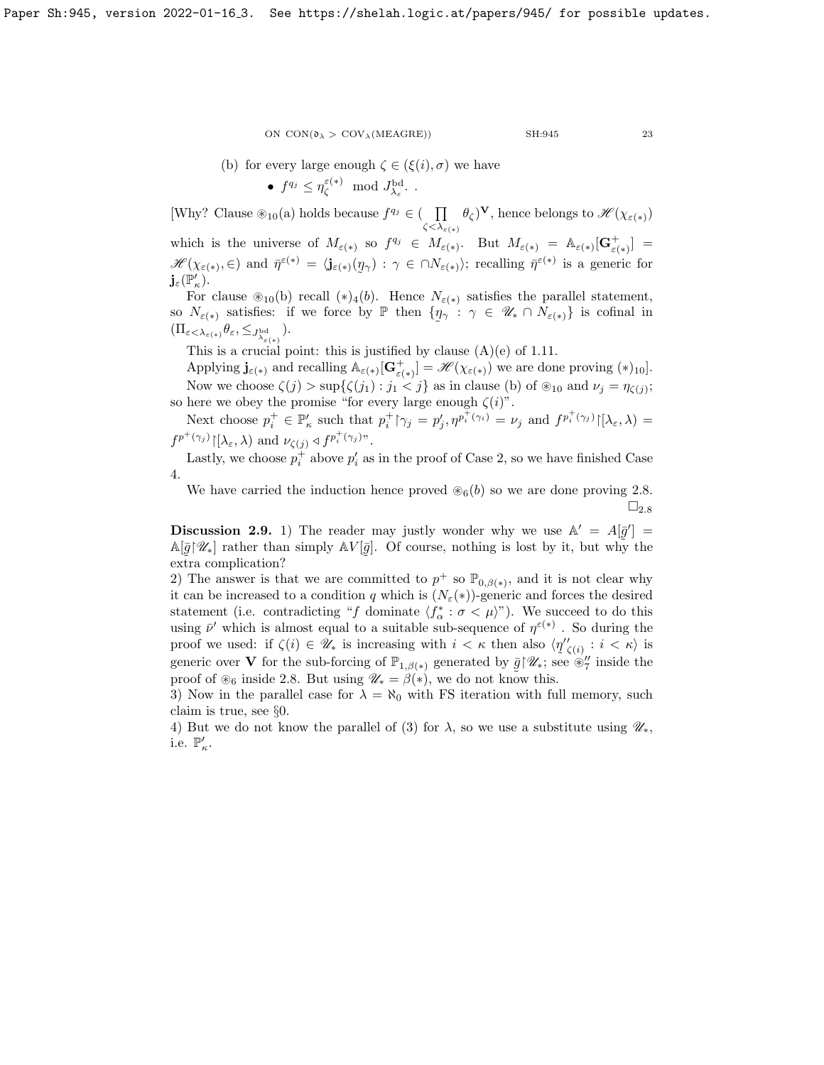\n- (b) for every large enough 
$$
\zeta \in (\xi(i), \sigma)
$$
 we have
\n- $f^{q_j} \leq \eta_{\zeta}^{\varepsilon(*)} \mod J_{\lambda_{\varepsilon}}^{\mathrm{bd}}$ .
\n

[Why? Clause  $\mathcal{L}_{10}(a)$  holds because  $f^{q_j} \in (-\prod$  $\zeta<\lambda_{\varepsilon(*)}$  $(\theta_{\zeta})^{\mathbf{V}},$  hence belongs to  $\mathscr{H}(\chi_{\varepsilon(*)})$ which is the universe of  $M_{\varepsilon(*)}$  so  $f^{q_j} \in M_{\varepsilon(*)}$ . But  $M_{\varepsilon(*)} = \mathbb{A}_{\varepsilon(*)}[\mathbf{G}^+_{\varepsilon(*)}] =$  $\mathscr{H}(\chi_{\varepsilon(*)}, \in)$  and  $\bar{\eta}^{\varepsilon(*)} = \langle \mathbf{j}_{\varepsilon(*)}(\eta_\gamma) : \gamma \in \cap N_{\varepsilon(*)} \rangle$ ; recalling  $\bar{\eta}^{\varepsilon(*)}$  is a generic for ˜  ${\bf j}_\varepsilon({\mathbb P}'_\kappa).$ 

For clause  $\mathcal{D}_{10}(b)$  recall  $(*)_4(b)$ . Hence  $N_{\varepsilon(*)}$  satisfies the parallel statement, so  $N_{\varepsilon(*)}$  satisfies: if we force by  $\mathbb P$  then  $\{\eta\}$  $\tilde{\phantom{a}}$  $\gamma : \gamma \in \mathscr{U}_* \cap N_{\varepsilon(*)}$  is cofinal in  $(\Pi_{\varepsilon<\lambda_{\varepsilon(*)}}\theta_{\varepsilon},\leq_{J^{\rm bd}_{\lambda_{\varepsilon(*)}}}).$ 

This is a crucial point: this is justified by clause  $(A)(e)$  of [1.11.](#page-7-1)

Applying  $\mathbf{j}_{\varepsilon(*)}$  and recalling  $\mathbb{A}_{\varepsilon(*)}[\mathbf{G}^+_{\varepsilon(*)}] = \mathscr{H}(\chi_{\varepsilon(*)})$  we are done proving  $(*)_{10}$ . Now we choose  $\zeta(j) > \sup{\{\zeta(j_1) : j_1 < j\}}$  as in clause (b) of  $\mathcal{D}_{10}$  and  $\nu_j = \eta_{\zeta(j)}$ ; so here we obey the promise "for every large enough  $\zeta(i)$ ".

Next choose  $p_i^+ \in \mathbb{P}_\kappa'$  such that  $p_i^+ \upharpoonright \gamma_j = p_j', \eta^{p_i^+ (\gamma_i)} = \nu_j$  and  $f^{p_i^+ (\gamma_j)} \upharpoonright [\lambda_\varepsilon, \lambda) =$  $f^{p^+(\gamma_j)}[{\lambda_\varepsilon},\lambda)$  and  $\nu_{\zeta(j)} \triangleleft f^{p^+_i(\gamma_j)}$ ".

Lastly, we choose  $p_i^+$  above  $p_i'$  as in the proof of Case 2, so we have finished Case 4.

We have carried the induction hence proved  $\mathcal{B}_6(b)$  so we are done proving [2.8.](#page-20-0)  $\square_{2.8}$  $\square_{2.8}$  $\square_{2.8}$ 

<span id="page-22-0"></span>**Discussion 2.9.** 1) The reader may justly wonder why we use  $\mathbb{A}' = A[\bar{g}'] =$  $\mathbb{A}[\bar{g}|\mathscr{U}_*]$  rather than simply  $\mathbb{A}V[\bar{g}]$ . Of course, nothing is lost by it, but why the extra complication? ˜

2) The answer is that we are committed to  $p^+$  so  $\mathbb{P}_{0,\beta(*)}$ , and it is not clear why it can be increased to a condition q which is  $(N_{\varepsilon}(*))$ -generic and forces the desired statement (i.e. contradicting "f dominate  $\langle f^*_{\alpha} : \sigma \langle \mu \rangle$ "). We succeed to do this using  $\bar{\nu}'$  which is almost equal to a suitable sub-sequence of  $\eta^{\varepsilon(*)}$ . So during the proof we used: if  $\zeta(i) \in \mathscr{U}_*$  is increasing with  $i < \kappa$  then also  $\langle \eta''_{\zeta(i)} : i < \kappa \rangle$  is generic over **V** for the sub-forcing of  $\mathbb{P}_{1,\beta(*)}$  generated by  $\bar{g} \upharpoonright \mathscr{U}_*$ ; see  $\mathscr{C}'_7$  inside the proof of  $\circledast_6$  inside [2.8.](#page-20-0) But using  $\mathscr{U}_* = \beta(*)$ , we do not know this.

3) Now in the parallel case for  $\lambda = \aleph_0$  with FS iteration with full memory, such claim is true, see §0.

4) But we do not know the parallel of (3) for  $\lambda$ , so we use a substitute using  $\mathscr{U}_*,$ i.e.  $\mathbb{P}'_{\kappa}$ .